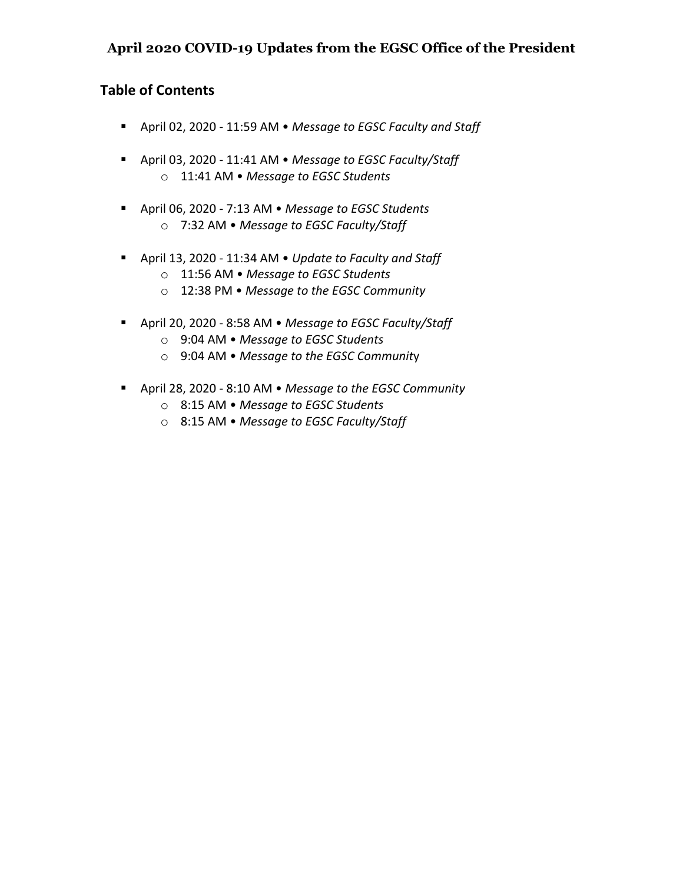# **April 2020 COVID-19 Updates from the EGSC Office of the President**

# **Table of Contents**

- § April 02, 2020 11:59 AM *Message to EGSC Faculty and Staff*
- § April 03, 2020 11:41 AM *Message to EGSC Faculty/Staff* o 11:41 AM • *Message to EGSC Students*
- § April 06, 2020 7:13 AM *Message to EGSC Students* o 7:32 AM • *Message to EGSC Faculty/Staff*
- § April 13, 2020 11:34 AM *Update to Faculty and Staff*
	- o 11:56 AM *Message to EGSC Students*
	- o 12:38 PM *Message to the EGSC Community*
- § April 20, 2020 8:58 AM *Message to EGSC Faculty/Staff*
	- o 9:04 AM *Message to EGSC Students*
	- o 9:04 AM *Message to the EGSC Communit*y
- § April 28, 2020 8:10 AM *Message to the EGSC Community*
	- o 8:15 AM *Message to EGSC Students*
	- o 8:15 AM *Message to EGSC Faculty/Staff*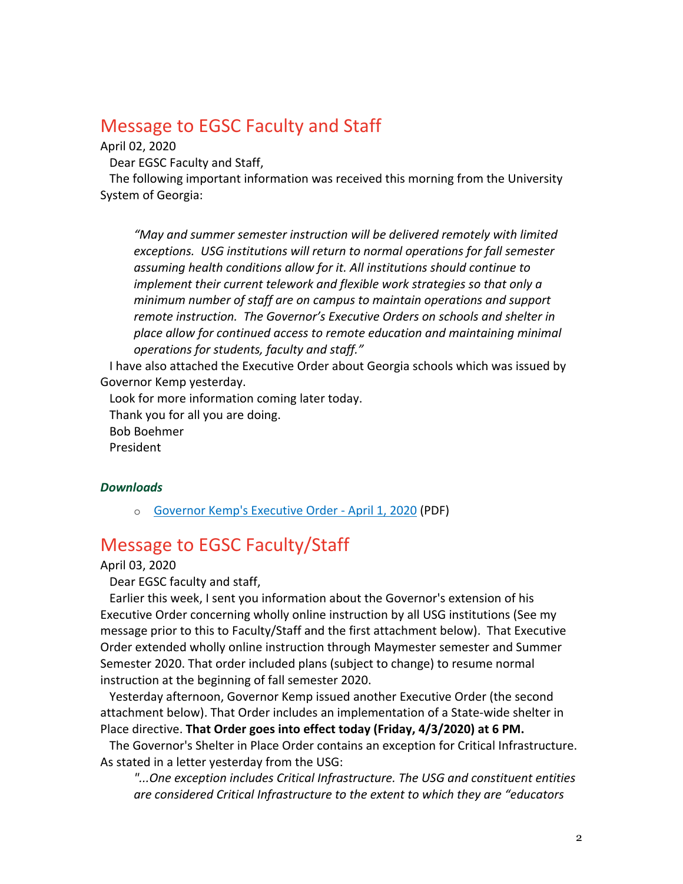# Message to EGSC Faculty and Staff

April 02, 2020

Dear EGSC Faculty and Staff,

The following important information was received this morning from the University System of Georgia:

*"May and summer semester instruction will be delivered remotely with limited exceptions. USG institutions will return to normal operations for fall semester assuming health conditions allow for it. All institutions should continue to implement their current telework and flexible work strategies so that only a minimum number of staff are on campus to maintain operations and support remote instruction. The Governor's Executive Orders on schools and shelter in place allow for continued access to remote education and maintaining minimal operations for students, faculty and staff."*

I have also attached the Executive Order about Georgia schools which was issued by Governor Kemp yesterday.

Look for more information coming later today.

Thank you for all you are doing.

Bob Boehmer

President

### *Downloads*

o Governor Kemp's Executive Order - April 1, 2020 (PDF)

# Message to EGSC Faculty/Staff

April 03, 2020

Dear EGSC faculty and staff,

Earlier this week, I sent you information about the Governor's extension of his Executive Order concerning wholly online instruction by all USG institutions (See my message prior to this to Faculty/Staff and the first attachment below). That Executive Order extended wholly online instruction through Maymester semester and Summer Semester 2020. That order included plans (subject to change) to resume normal instruction at the beginning of fall semester 2020.

Yesterday afternoon, Governor Kemp issued another Executive Order (the second attachment below). That Order includes an implementation of a State-wide shelter in Place directive. **That Order goes into effect today (Friday, 4/3/2020) at 6 PM.**

The Governor's Shelter in Place Order contains an exception for Critical Infrastructure. As stated in a letter yesterday from the USG:

*"...One exception includes Critical Infrastructure. The USG and constituent entities are considered Critical Infrastructure to the extent to which they are "educators*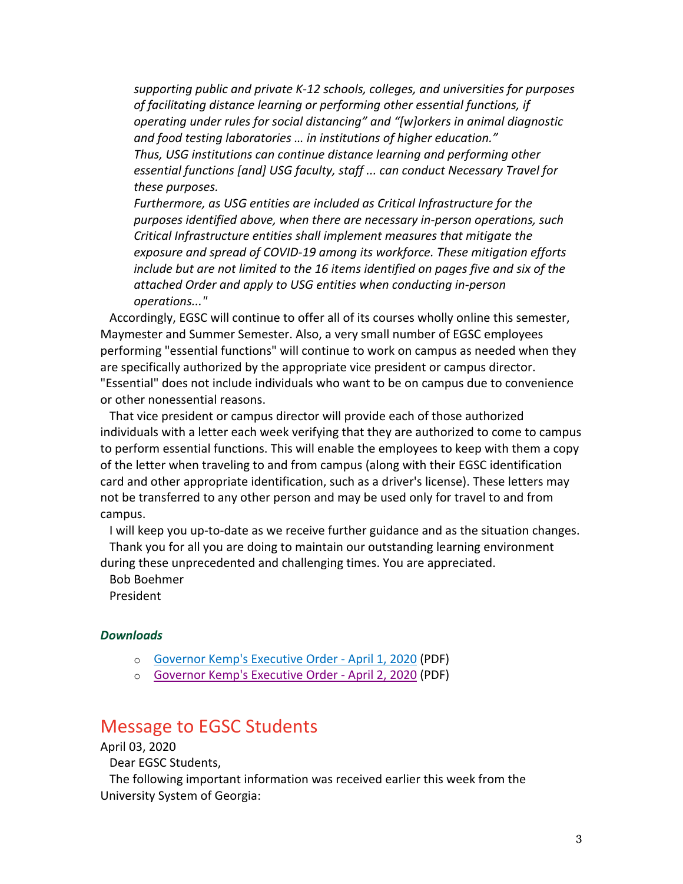*supporting public and private K-12 schools, colleges, and universities for purposes of facilitating distance learning or performing other essential functions, if operating under rules for social distancing" and "[w]orkers in animal diagnostic and food testing laboratories … in institutions of higher education." Thus, USG institutions can continue distance learning and performing other essential functions [and] USG faculty, staff ... can conduct Necessary Travel for these purposes.*

*Furthermore, as USG entities are included as Critical Infrastructure for the purposes identified above, when there are necessary in-person operations, such Critical Infrastructure entities shall implement measures that mitigate the exposure and spread of COVID-19 among its workforce. These mitigation efforts include but are not limited to the 16 items identified on pages five and six of the attached Order and apply to USG entities when conducting in-person operations..."*

Accordingly, EGSC will continue to offer all of its courses wholly online this semester, Maymester and Summer Semester. Also, a very small number of EGSC employees performing "essential functions" will continue to work on campus as needed when they are specifically authorized by the appropriate vice president or campus director. "Essential" does not include individuals who want to be on campus due to convenience or other nonessential reasons.

That vice president or campus director will provide each of those authorized individuals with a letter each week verifying that they are authorized to come to campus to perform essential functions. This will enable the employees to keep with them a copy of the letter when traveling to and from campus (along with their EGSC identification card and other appropriate identification, such as a driver's license). These letters may not be transferred to any other person and may be used only for travel to and from campus.

I will keep you up-to-date as we receive further guidance and as the situation changes. Thank you for all you are doing to maintain our outstanding learning environment during these unprecedented and challenging times. You are appreciated.

Bob Boehmer

President

#### *Downloads*

- o Governor Kemp's Executive Order April 1, 2020 (PDF)
- o Governor Kemp's Executive Order April 2, 2020 (PDF)

# Message to EGSC Students

April 03, 2020

Dear EGSC Students,

The following important information was received earlier this week from the University System of Georgia: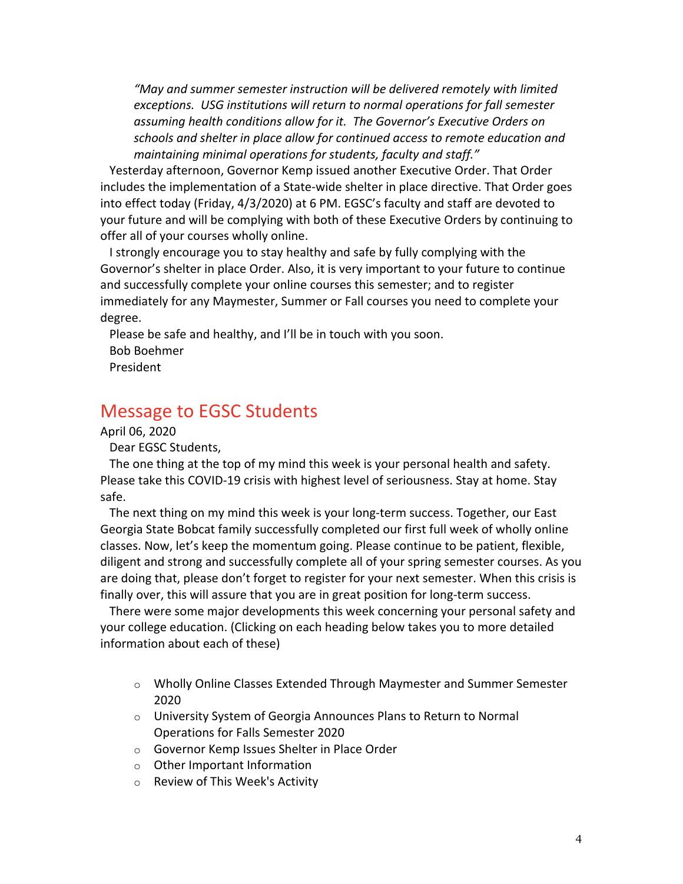*"May and summer semester instruction will be delivered remotely with limited exceptions. USG institutions will return to normal operations for fall semester assuming health conditions allow for it. The Governor's Executive Orders on schools and shelter in place allow for continued access to remote education and maintaining minimal operations for students, faculty and staff."*

Yesterday afternoon, Governor Kemp issued another Executive Order. That Order includes the implementation of a State-wide shelter in place directive. That Order goes into effect today (Friday, 4/3/2020) at 6 PM. EGSC's faculty and staff are devoted to your future and will be complying with both of these Executive Orders by continuing to offer all of your courses wholly online.

I strongly encourage you to stay healthy and safe by fully complying with the Governor's shelter in place Order. Also, it is very important to your future to continue and successfully complete your online courses this semester; and to register immediately for any Maymester, Summer or Fall courses you need to complete your degree.

Please be safe and healthy, and I'll be in touch with you soon. Bob Boehmer President

# Message to EGSC Students

April 06, 2020

Dear EGSC Students,

The one thing at the top of my mind this week is your personal health and safety. Please take this COVID-19 crisis with highest level of seriousness. Stay at home. Stay safe.

The next thing on my mind this week is your long-term success. Together, our East Georgia State Bobcat family successfully completed our first full week of wholly online classes. Now, let's keep the momentum going. Please continue to be patient, flexible, diligent and strong and successfully complete all of your spring semester courses. As you are doing that, please don't forget to register for your next semester. When this crisis is finally over, this will assure that you are in great position for long-term success.

There were some major developments this week concerning your personal safety and your college education. (Clicking on each heading below takes you to more detailed information about each of these)

- $\circ$  Wholly Online Classes Extended Through Maymester and Summer Semester 2020
- o University System of Georgia Announces Plans to Return to Normal Operations for Falls Semester 2020
- o Governor Kemp Issues Shelter in Place Order
- o Other Important Information
- o Review of This Week's Activity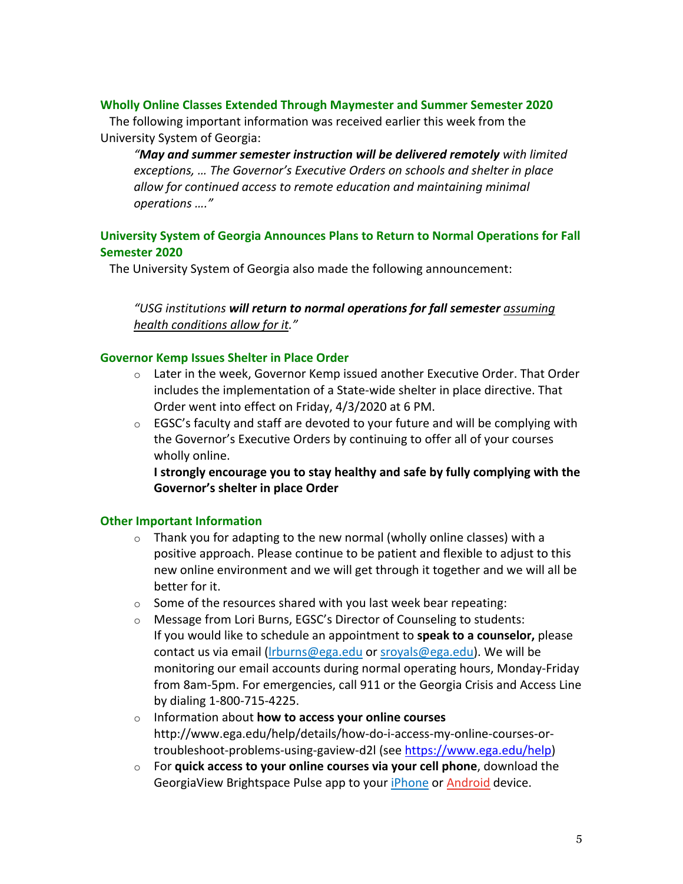## **Wholly Online Classes Extended Through Maymester and Summer Semester 2020**

The following important information was received earlier this week from the University System of Georgia:

*"May and summer semester instruction will be delivered remotely with limited exceptions, … The Governor's Executive Orders on schools and shelter in place allow for continued access to remote education and maintaining minimal operations …."*

# **University System of Georgia Announces Plans to Return to Normal Operations for Fall Semester 2020**

The University System of Georgia also made the following announcement:

*"USG institutions will return to normal operations for fall semester assuming health conditions allow for it."*

## **Governor Kemp Issues Shelter in Place Order**

- $\circ$  Later in the week, Governor Kemp issued another Executive Order. That Order includes the implementation of a State-wide shelter in place directive. That Order went into effect on Friday, 4/3/2020 at 6 PM.
- o EGSC's faculty and staff are devoted to your future and will be complying with the Governor's Executive Orders by continuing to offer all of your courses wholly online.

**I strongly encourage you to stay healthy and safe by fully complying with the Governor's shelter in place Order**

## **Other Important Information**

- $\circ$  Thank you for adapting to the new normal (wholly online classes) with a positive approach. Please continue to be patient and flexible to adjust to this new online environment and we will get through it together and we will all be better for it.
- $\circ$  Some of the resources shared with you last week bear repeating:
- o Message from Lori Burns, EGSC's Director of Counseling to students: If you would like to schedule an appointment to **speak to a counselor,** please contact us via email (lrburns@ega.edu or sroyals@ega.edu). We will be monitoring our email accounts during normal operating hours, Monday-Friday from 8am-5pm. For emergencies, call 911 or the Georgia Crisis and Access Line by dialing 1-800-715-4225.
- o Information about **how to access your online courses** http://www.ega.edu/help/details/how-do-i-access-my-online-courses-ortroubleshoot-problems-using-gaview-d2l (see https://www.ega.edu/help)
- o For **quick access to your online courses via your cell phone**, download the GeorgiaView Brightspace Pulse app to your iPhone or Android device.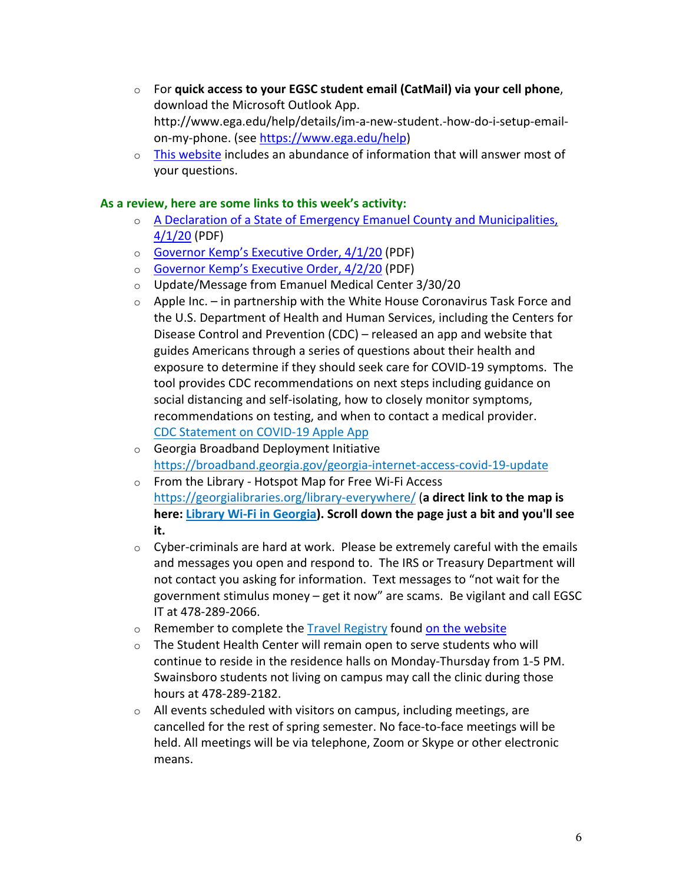- o For **quick access to your EGSC student email (CatMail) via your cell phone**, download the Microsoft Outlook App. http://www.ega.edu/help/details/im-a-new-student.-how-do-i-setup-emailon-my-phone. (see https://www.ega.edu/help)
- o This website includes an abundance of information that will answer most of your questions.

# **As a review, here are some links to this week's activity:**

- o A Declaration of a State of Emergency Emanuel County and Municipalities, 4/1/20 (PDF)
- o Governor Kemp's Executive Order, 4/1/20 (PDF)
- o Governor Kemp's Executive Order, 4/2/20 (PDF)
- o Update/Message from Emanuel Medical Center 3/30/20
- $\circ$  Apple Inc. in partnership with the White House Coronavirus Task Force and the U.S. Department of Health and Human Services, including the Centers for Disease Control and Prevention (CDC) – released an app and website that guides Americans through a series of questions about their health and exposure to determine if they should seek care for COVID-19 symptoms. The tool provides CDC recommendations on next steps including guidance on social distancing and self-isolating, how to closely monitor symptoms, recommendations on testing, and when to contact a medical provider. CDC Statement on COVID-19 Apple App
- o Georgia Broadband Deployment Initiative https://broadband.georgia.gov/georgia-internet-access-covid-19-update
- o From the Library Hotspot Map for Free Wi-Fi Access https://georgialibraries.org/library-everywhere/ (**a direct link to the map is here: Library Wi-Fi in Georgia). Scroll down the page just a bit and you'll see it.**
- $\circ$  Cyber-criminals are hard at work. Please be extremely careful with the emails and messages you open and respond to. The IRS or Treasury Department will not contact you asking for information. Text messages to "not wait for the government stimulus money – get it now" are scams. Be vigilant and call EGSC IT at 478-289-2066.
- o Remember to complete the Travel Registry found on the website
- o The Student Health Center will remain open to serve students who will continue to reside in the residence halls on Monday-Thursday from 1-5 PM. Swainsboro students not living on campus may call the clinic during those hours at 478-289-2182.
- o All events scheduled with visitors on campus, including meetings, are cancelled for the rest of spring semester. No face-to-face meetings will be held. All meetings will be via telephone, Zoom or Skype or other electronic means.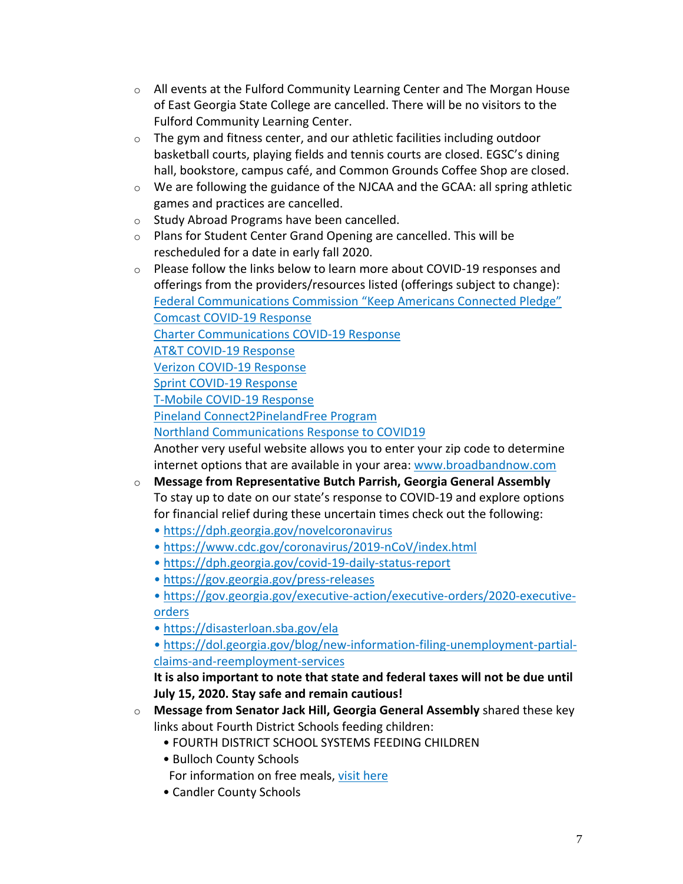- $\circ$  All events at the Fulford Community Learning Center and The Morgan House of East Georgia State College are cancelled. There will be no visitors to the Fulford Community Learning Center.
- o The gym and fitness center, and our athletic facilities including outdoor basketball courts, playing fields and tennis courts are closed. EGSC's dining hall, bookstore, campus café, and Common Grounds Coffee Shop are closed.
- o We are following the guidance of the NJCAA and the GCAA: all spring athletic games and practices are cancelled.
- o Study Abroad Programs have been cancelled.
- o Plans for Student Center Grand Opening are cancelled. This will be rescheduled for a date in early fall 2020.
- $\circ$  Please follow the links below to learn more about COVID-19 responses and offerings from the providers/resources listed (offerings subject to change): Federal Communications Commission "Keep Americans Connected Pledge" Comcast COVID-19 Response Charter Communications COVID-19 Response AT&T COVID-19 Response Verizon COVID-19 Response Sprint COVID-19 Response T-Mobile COVID-19 Response Pineland Connect2PinelandFree Program Northland Communications Response to COVID19 Another very useful website allows you to enter your zip code to determine internet options that are available in your area: www.broadbandnow.com o **Message from Representative Butch Parrish, Georgia General Assembly**
- To stay up to date on our state's response to COVID-19 and explore options for financial relief during these uncertain times check out the following:
	- https://dph.georgia.gov/novelcoronavirus
	- https://www.cdc.gov/coronavirus/2019-nCoV/index.html
	- https://dph.georgia.gov/covid-19-daily-status-report
	- https://gov.georgia.gov/press-releases
	- https://gov.georgia.gov/executive-action/executive-orders/2020-executiveorders
	- https://disasterloan.sba.gov/ela

• https://dol.georgia.gov/blog/new-information-filing-unemployment-partialclaims-and-reemployment-services

**It is also important to note that state and federal taxes will not be due until July 15, 2020. Stay safe and remain cautious!**

- o **Message from Senator Jack Hill, Georgia General Assembly** shared these key links about Fourth District Schools feeding children:
	- FOURTH DISTRICT SCHOOL SYSTEMS FEEDING CHILDREN
	- Bulloch County Schools
	- For information on free meals, visit here
	- Candler County Schools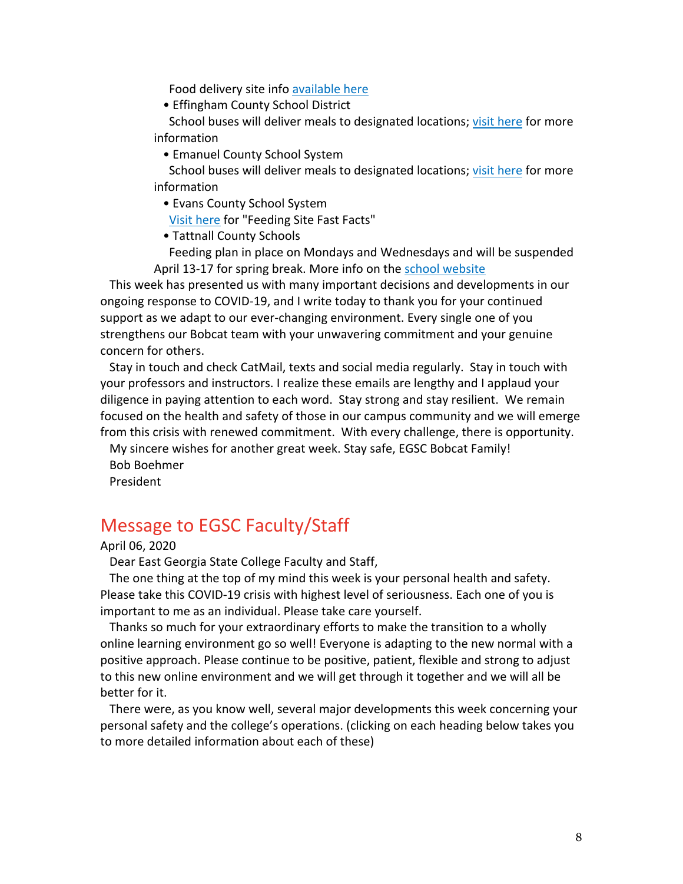Food delivery site info available here

• Effingham County School District

School buses will deliver meals to designated locations; visit here for more information

• Emanuel County School System

School buses will deliver meals to designated locations; visit here for more information

• Evans County School System

Visit here for "Feeding Site Fast Facts"

• Tattnall County Schools

Feeding plan in place on Mondays and Wednesdays and will be suspended April 13-17 for spring break. More info on the school website

This week has presented us with many important decisions and developments in our ongoing response to COVID-19, and I write today to thank you for your continued support as we adapt to our ever-changing environment. Every single one of you strengthens our Bobcat team with your unwavering commitment and your genuine concern for others.

Stay in touch and check CatMail, texts and social media regularly. Stay in touch with your professors and instructors. I realize these emails are lengthy and I applaud your diligence in paying attention to each word. Stay strong and stay resilient. We remain focused on the health and safety of those in our campus community and we will emerge from this crisis with renewed commitment. With every challenge, there is opportunity.

My sincere wishes for another great week. Stay safe, EGSC Bobcat Family! Bob Boehmer

President

# Message to EGSC Faculty/Staff

April 06, 2020

Dear East Georgia State College Faculty and Staff,

The one thing at the top of my mind this week is your personal health and safety. Please take this COVID-19 crisis with highest level of seriousness. Each one of you is important to me as an individual. Please take care yourself.

Thanks so much for your extraordinary efforts to make the transition to a wholly online learning environment go so well! Everyone is adapting to the new normal with a positive approach. Please continue to be positive, patient, flexible and strong to adjust to this new online environment and we will get through it together and we will all be better for it.

There were, as you know well, several major developments this week concerning your personal safety and the college's operations. (clicking on each heading below takes you to more detailed information about each of these)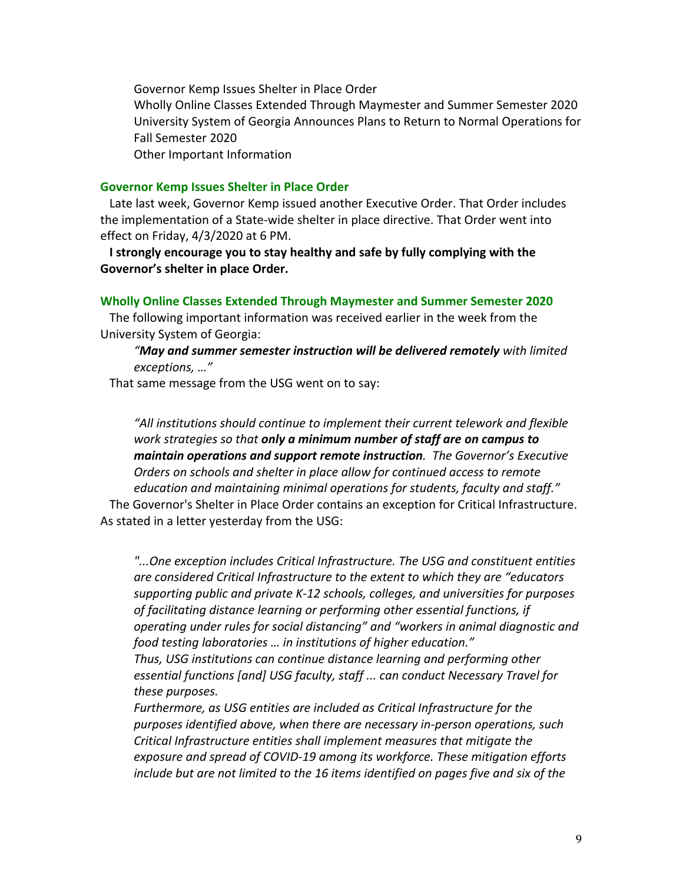Governor Kemp Issues Shelter in Place Order Wholly Online Classes Extended Through Maymester and Summer Semester 2020 University System of Georgia Announces Plans to Return to Normal Operations for Fall Semester 2020 Other Important Information

## **Governor Kemp Issues Shelter in Place Order**

Late last week, Governor Kemp issued another Executive Order. That Order includes the implementation of a State-wide shelter in place directive. That Order went into effect on Friday, 4/3/2020 at 6 PM.

**I strongly encourage you to stay healthy and safe by fully complying with the Governor's shelter in place Order.**

#### **Wholly Online Classes Extended Through Maymester and Summer Semester 2020**

The following important information was received earlier in the week from the University System of Georgia:

# *"May and summer semester instruction will be delivered remotely with limited exceptions, …"*

That same message from the USG went on to say:

*"All institutions should continue to implement their current telework and flexible work strategies so that only a minimum number of staff are on campus to maintain operations and support remote instruction. The Governor's Executive Orders on schools and shelter in place allow for continued access to remote education and maintaining minimal operations for students, faculty and staff."*

The Governor's Shelter in Place Order contains an exception for Critical Infrastructure. As stated in a letter yesterday from the USG:

*"...One exception includes Critical Infrastructure. The USG and constituent entities are considered Critical Infrastructure to the extent to which they are "educators supporting public and private K-12 schools, colleges, and universities for purposes of facilitating distance learning or performing other essential functions, if operating under rules for social distancing" and "workers in animal diagnostic and food testing laboratories … in institutions of higher education." Thus, USG institutions can continue distance learning and performing other essential functions [and] USG faculty, staff ... can conduct Necessary Travel for these purposes.*

*Furthermore, as USG entities are included as Critical Infrastructure for the purposes identified above, when there are necessary in-person operations, such Critical Infrastructure entities shall implement measures that mitigate the exposure and spread of COVID-19 among its workforce. These mitigation efforts include but are not limited to the 16 items identified on pages five and six of the*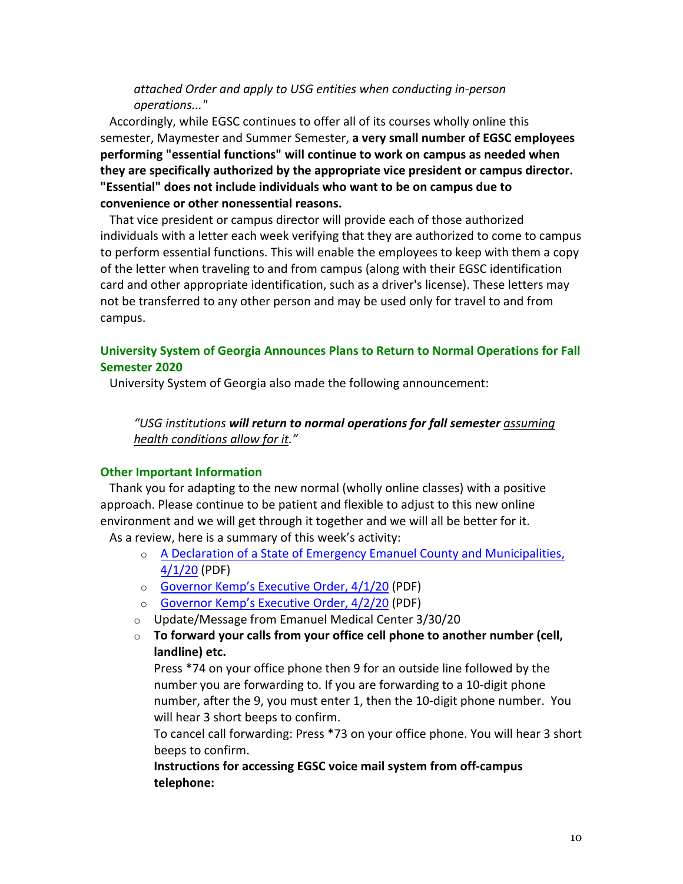# *attached Order and apply to USG entities when conducting in-person operations..."*

Accordingly, while EGSC continues to offer all of its courses wholly online this semester, Maymester and Summer Semester, **a very small number of EGSC employees performing "essential functions" will continue to work on campus as needed when they are specifically authorized by the appropriate vice president or campus director. "Essential" does not include individuals who want to be on campus due to convenience or other nonessential reasons.**

That vice president or campus director will provide each of those authorized individuals with a letter each week verifying that they are authorized to come to campus to perform essential functions. This will enable the employees to keep with them a copy of the letter when traveling to and from campus (along with their EGSC identification card and other appropriate identification, such as a driver's license). These letters may not be transferred to any other person and may be used only for travel to and from campus.

# **University System of Georgia Announces Plans to Return to Normal Operations for Fall Semester 2020**

University System of Georgia also made the following announcement:

# *"USG institutions will return to normal operations for fall semester assuming health conditions allow for it."*

## **Other Important Information**

Thank you for adapting to the new normal (wholly online classes) with a positive approach. Please continue to be patient and flexible to adjust to this new online environment and we will get through it together and we will all be better for it.

As a review, here is a summary of this week's activity:

- o A Declaration of a State of Emergency Emanuel County and Municipalities, 4/1/20 (PDF)
- o Governor Kemp's Executive Order, 4/1/20 (PDF)
- o Governor Kemp's Executive Order, 4/2/20 (PDF)
- o Update/Message from Emanuel Medical Center 3/30/20
- o **To forward your calls from your office cell phone to another number (cell, landline) etc.**

Press \*74 on your office phone then 9 for an outside line followed by the number you are forwarding to. If you are forwarding to a 10-digit phone number, after the 9, you must enter 1, then the 10-digit phone number. You will hear 3 short beeps to confirm.

To cancel call forwarding: Press \*73 on your office phone. You will hear 3 short beeps to confirm.

**Instructions for accessing EGSC voice mail system from off-campus telephone:**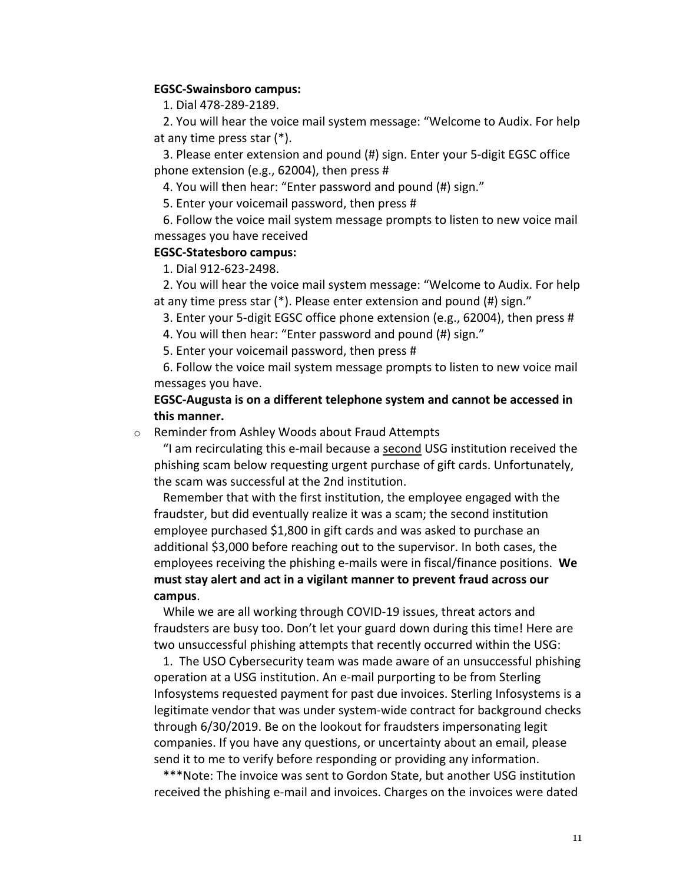### **EGSC-Swainsboro campus:**

1. Dial 478-289-2189.

2. You will hear the voice mail system message: "Welcome to Audix. For help at any time press star (\*).

3. Please enter extension and pound (#) sign. Enter your 5-digit EGSC office phone extension (e.g., 62004), then press #

4. You will then hear: "Enter password and pound (#) sign."

5. Enter your voicemail password, then press #

6. Follow the voice mail system message prompts to listen to new voice mail messages you have received

#### **EGSC-Statesboro campus:**

1. Dial 912-623-2498.

2. You will hear the voice mail system message: "Welcome to Audix. For help at any time press star (\*). Please enter extension and pound (#) sign."

3. Enter your 5-digit EGSC office phone extension (e.g., 62004), then press #

4. You will then hear: "Enter password and pound (#) sign."

5. Enter your voicemail password, then press #

6. Follow the voice mail system message prompts to listen to new voice mail messages you have.

## **EGSC-Augusta is on a different telephone system and cannot be accessed in this manner.**

o Reminder from Ashley Woods about Fraud Attempts

"I am recirculating this e-mail because a second USG institution received the phishing scam below requesting urgent purchase of gift cards. Unfortunately, the scam was successful at the 2nd institution.

Remember that with the first institution, the employee engaged with the fraudster, but did eventually realize it was a scam; the second institution employee purchased \$1,800 in gift cards and was asked to purchase an additional \$3,000 before reaching out to the supervisor. In both cases, the employees receiving the phishing e-mails were in fiscal/finance positions. **We must stay alert and act in a vigilant manner to prevent fraud across our campus**.

While we are all working through COVID-19 issues, threat actors and fraudsters are busy too. Don't let your guard down during this time! Here are two unsuccessful phishing attempts that recently occurred within the USG:

1. The USO Cybersecurity team was made aware of an unsuccessful phishing operation at a USG institution. An e-mail purporting to be from Sterling Infosystems requested payment for past due invoices. Sterling Infosystems is a legitimate vendor that was under system-wide contract for background checks through 6/30/2019. Be on the lookout for fraudsters impersonating legit companies. If you have any questions, or uncertainty about an email, please send it to me to verify before responding or providing any information.

\*\*\*Note: The invoice was sent to Gordon State, but another USG institution received the phishing e-mail and invoices. Charges on the invoices were dated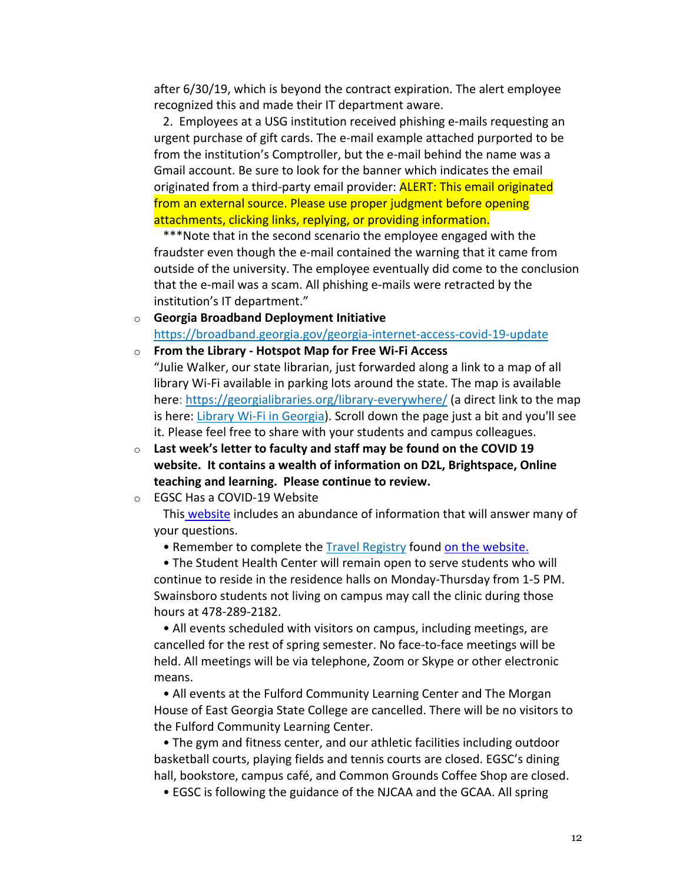after 6/30/19, which is beyond the contract expiration. The alert employee recognized this and made their IT department aware.

2. Employees at a USG institution received phishing e-mails requesting an urgent purchase of gift cards. The e-mail example attached purported to be from the institution's Comptroller, but the e-mail behind the name was a Gmail account. Be sure to look for the banner which indicates the email originated from a third-party email provider: **ALERT: This email originated** from an external source. Please use proper judgment before opening attachments, clicking links, replying, or providing information.

\*\*\*Note that in the second scenario the employee engaged with the fraudster even though the e-mail contained the warning that it came from outside of the university. The employee eventually did come to the conclusion that the e-mail was a scam. All phishing e-mails were retracted by the institution's IT department."

- o **Georgia Broadband Deployment Initiative** https://broadband.georgia.gov/georgia-internet-access-covid-19-update
- o **From the Library - Hotspot Map for Free Wi-Fi Access** "Julie Walker, our state librarian, just forwarded along a link to a map of all library Wi-Fi available in parking lots around the state. The map is available here: https://georgialibraries.org/library-everywhere/ (a direct link to the map is here: Library Wi-Fi in Georgia). Scroll down the page just a bit and you'll see it. Please feel free to share with your students and campus colleagues.
- o **Last week's letter to faculty and staff may be found on the COVID 19 website. It contains a wealth of information on D2L, Brightspace, Online teaching and learning. Please continue to review.**

o EGSC Has a COVID-19 Website

This website includes an abundance of information that will answer many of your questions.

• Remember to complete the Travel Registry found on the website.

• The Student Health Center will remain open to serve students who will continue to reside in the residence halls on Monday-Thursday from 1-5 PM. Swainsboro students not living on campus may call the clinic during those hours at 478-289-2182.

• All events scheduled with visitors on campus, including meetings, are cancelled for the rest of spring semester. No face-to-face meetings will be held. All meetings will be via telephone, Zoom or Skype or other electronic means.

• All events at the Fulford Community Learning Center and The Morgan House of East Georgia State College are cancelled. There will be no visitors to the Fulford Community Learning Center.

• The gym and fitness center, and our athletic facilities including outdoor basketball courts, playing fields and tennis courts are closed. EGSC's dining hall, bookstore, campus café, and Common Grounds Coffee Shop are closed.

• EGSC is following the guidance of the NJCAA and the GCAA. All spring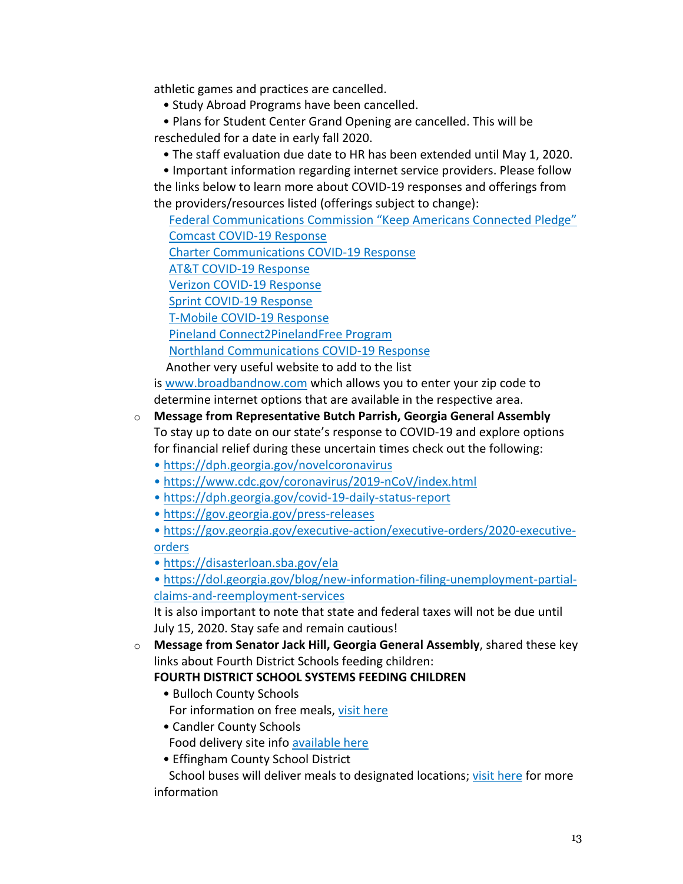athletic games and practices are cancelled.

- Study Abroad Programs have been cancelled.
- Plans for Student Center Grand Opening are cancelled. This will be rescheduled for a date in early fall 2020.
	- The staff evaluation due date to HR has been extended until May 1, 2020.

• Important information regarding internet service providers. Please follow the links below to learn more about COVID-19 responses and offerings from the providers/resources listed (offerings subject to change):

Federal Communications Commission "Keep Americans Connected Pledge" Comcast COVID-19 Response Charter Communications COVID-19 Response AT&T COVID-19 Response

Verizon COVID-19 Response

Sprint COVID-19 Response

T-Mobile COVID-19 Response

Pineland Connect2PinelandFree Program

Northland Communications COVID-19 Response

Another very useful website to add to the list

is www.broadbandnow.com which allows you to enter your zip code to determine internet options that are available in the respective area.

- o **Message from Representative Butch Parrish, Georgia General Assembly** To stay up to date on our state's response to COVID-19 and explore options for financial relief during these uncertain times check out the following:
	- https://dph.georgia.gov/novelcoronavirus
	- https://www.cdc.gov/coronavirus/2019-nCoV/index.html
	- https://dph.georgia.gov/covid-19-daily-status-report
	- https://gov.georgia.gov/press-releases

• https://gov.georgia.gov/executive-action/executive-orders/2020-executiveorders

• https://disasterloan.sba.gov/ela

• https://dol.georgia.gov/blog/new-information-filing-unemployment-partialclaims-and-reemployment-services

It is also important to note that state and federal taxes will not be due until July 15, 2020. Stay safe and remain cautious!

o **Message from Senator Jack Hill, Georgia General Assembly**, shared these key links about Fourth District Schools feeding children:

**FOURTH DISTRICT SCHOOL SYSTEMS FEEDING CHILDREN**

- Bulloch County Schools For information on free meals, visit here
- Candler County Schools Food delivery site info available here
- Effingham County School District

School buses will deliver meals to designated locations; visit here for more information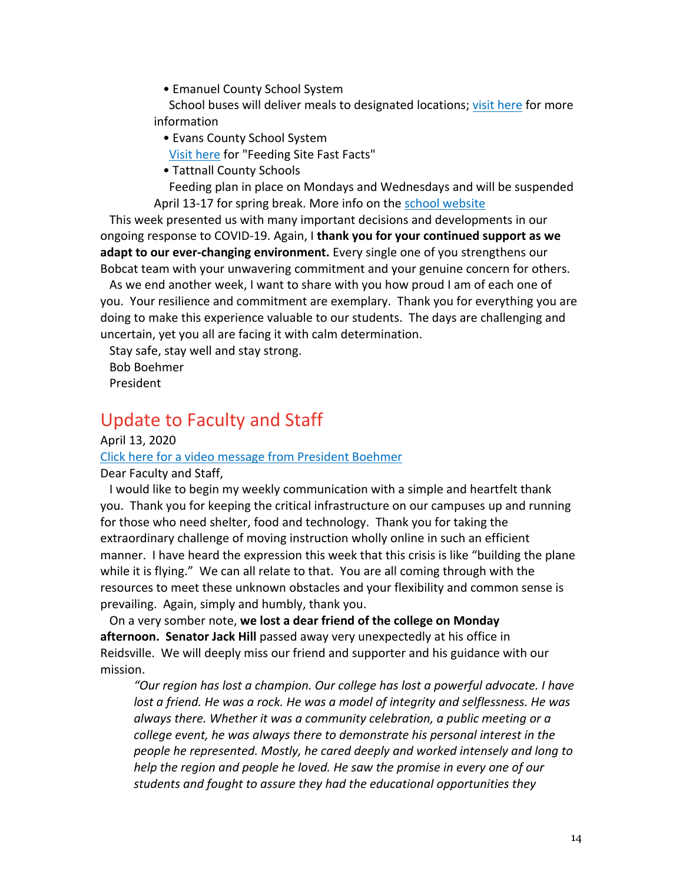• Emanuel County School System

School buses will deliver meals to designated locations; visit here for more information

• Evans County School System

Visit here for "Feeding Site Fast Facts"

• Tattnall County Schools

Feeding plan in place on Mondays and Wednesdays and will be suspended April 13-17 for spring break. More info on the school website

This week presented us with many important decisions and developments in our ongoing response to COVID-19. Again, I **thank you for your continued support as we adapt to our ever-changing environment.** Every single one of you strengthens our Bobcat team with your unwavering commitment and your genuine concern for others.

As we end another week, I want to share with you how proud I am of each one of you. Your resilience and commitment are exemplary. Thank you for everything you are doing to make this experience valuable to our students. The days are challenging and uncertain, yet you all are facing it with calm determination.

Stay safe, stay well and stay strong. Bob Boehmer President

# Update to Faculty and Staff

## April 13, 2020

Click here for a video message from President Boehmer

Dear Faculty and Staff,

I would like to begin my weekly communication with a simple and heartfelt thank you. Thank you for keeping the critical infrastructure on our campuses up and running for those who need shelter, food and technology. Thank you for taking the extraordinary challenge of moving instruction wholly online in such an efficient manner. I have heard the expression this week that this crisis is like "building the plane while it is flying." We can all relate to that. You are all coming through with the resources to meet these unknown obstacles and your flexibility and common sense is prevailing. Again, simply and humbly, thank you.

On a very somber note, **we lost a dear friend of the college on Monday afternoon. Senator Jack Hill** passed away very unexpectedly at his office in Reidsville. We will deeply miss our friend and supporter and his guidance with our mission.

*"Our region has lost a champion. Our college has lost a powerful advocate. I have lost a friend. He was a rock. He was a model of integrity and selflessness. He was always there. Whether it was a community celebration, a public meeting or a college event, he was always there to demonstrate his personal interest in the people he represented. Mostly, he cared deeply and worked intensely and long to help the region and people he loved. He saw the promise in every one of our students and fought to assure they had the educational opportunities they*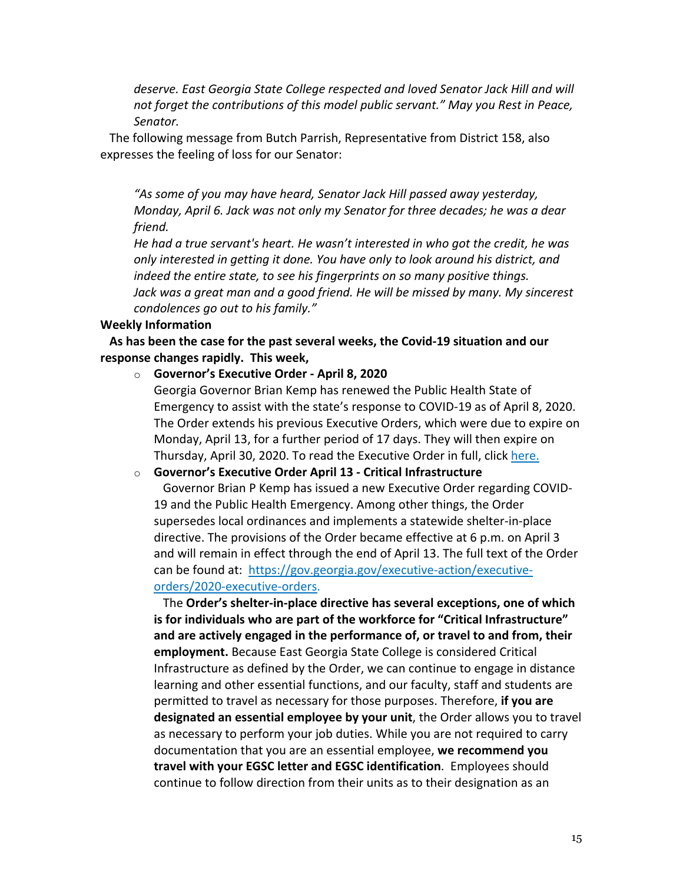*deserve. East Georgia State College respected and loved Senator Jack Hill and will not forget the contributions of this model public servant." May you Rest in Peace, Senator.*

The following message from Butch Parrish, Representative from District 158, also expresses the feeling of loss for our Senator:

*"As some of you may have heard, Senator Jack Hill passed away yesterday, Monday, April 6. Jack was not only my Senator for three decades; he was a dear friend.*

*He had a true servant's heart. He wasn't interested in who got the credit, he was only interested in getting it done. You have only to look around his district, and indeed the entire state, to see his fingerprints on so many positive things. Jack was a great man and a good friend. He will be missed by many. My sincerest condolences go out to his family."*

### **Weekly Information**

**As has been the case for the past several weeks, the Covid-19 situation and our response changes rapidly. This week,**

o **Governor's Executive Order - April 8, 2020**

Georgia Governor Brian Kemp has renewed the Public Health State of Emergency to assist with the state's response to COVID-19 as of April 8, 2020. The Order extends his previous Executive Orders, which were due to expire on Monday, April 13, for a further period of 17 days. They will then expire on Thursday, April 30, 2020. To read the Executive Order in full, click here.

## o **Governor's Executive Order April 13 - Critical Infrastructure**

Governor Brian P Kemp has issued a new Executive Order regarding COVID-19 and the Public Health Emergency. Among other things, the Order supersedes local ordinances and implements a statewide shelter-in-place directive. The provisions of the Order became effective at 6 p.m. on April 3 and will remain in effect through the end of April 13. The full text of the Order can be found at: https://gov.georgia.gov/executive-action/executiveorders/2020-executive-orders.

The **Order's shelter-in-place directive has several exceptions, one of which is for individuals who are part of the workforce for "Critical Infrastructure" and are actively engaged in the performance of, or travel to and from, their employment.** Because East Georgia State College is considered Critical Infrastructure as defined by the Order, we can continue to engage in distance learning and other essential functions, and our faculty, staff and students are permitted to travel as necessary for those purposes. Therefore, **if you are designated an essential employee by your unit**, the Order allows you to travel as necessary to perform your job duties. While you are not required to carry documentation that you are an essential employee, **we recommend you travel with your EGSC letter and EGSC identification**. Employees should continue to follow direction from their units as to their designation as an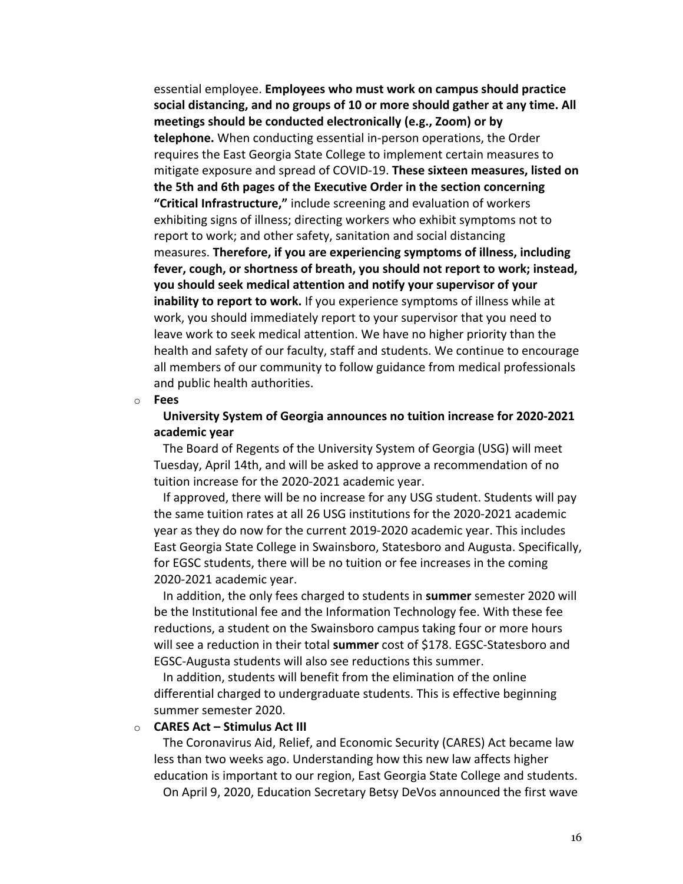essential employee. **Employees who must work on campus should practice social distancing, and no groups of 10 or more should gather at any time. All meetings should be conducted electronically (e.g., Zoom) or by telephone.** When conducting essential in-person operations, the Order requires the East Georgia State College to implement certain measures to mitigate exposure and spread of COVID-19. **These sixteen measures, listed on the 5th and 6th pages of the Executive Order in the section concerning "Critical Infrastructure,"** include screening and evaluation of workers exhibiting signs of illness; directing workers who exhibit symptoms not to report to work; and other safety, sanitation and social distancing measures. **Therefore, if you are experiencing symptoms of illness, including fever, cough, or shortness of breath, you should not report to work; instead, you should seek medical attention and notify your supervisor of your inability to report to work.** If you experience symptoms of illness while at work, you should immediately report to your supervisor that you need to leave work to seek medical attention. We have no higher priority than the health and safety of our faculty, staff and students. We continue to encourage all members of our community to follow guidance from medical professionals and public health authorities.

o **Fees**

**University System of Georgia announces no tuition increase for 2020-2021 academic year**

The Board of Regents of the University System of Georgia (USG) will meet Tuesday, April 14th, and will be asked to approve a recommendation of no tuition increase for the 2020-2021 academic year.

If approved, there will be no increase for any USG student. Students will pay the same tuition rates at all 26 USG institutions for the 2020-2021 academic year as they do now for the current 2019-2020 academic year. This includes East Georgia State College in Swainsboro, Statesboro and Augusta. Specifically, for EGSC students, there will be no tuition or fee increases in the coming 2020-2021 academic year.

In addition, the only fees charged to students in **summer** semester 2020 will be the Institutional fee and the Information Technology fee. With these fee reductions, a student on the Swainsboro campus taking four or more hours will see a reduction in their total **summer** cost of \$178. EGSC-Statesboro and EGSC-Augusta students will also see reductions this summer.

In addition, students will benefit from the elimination of the online differential charged to undergraduate students. This is effective beginning summer semester 2020.

## o **CARES Act – Stimulus Act III**

The Coronavirus Aid, Relief, and Economic Security (CARES) Act became law less than two weeks ago. Understanding how this new law affects higher education is important to our region, East Georgia State College and students. On April 9, 2020, Education Secretary Betsy DeVos announced the first wave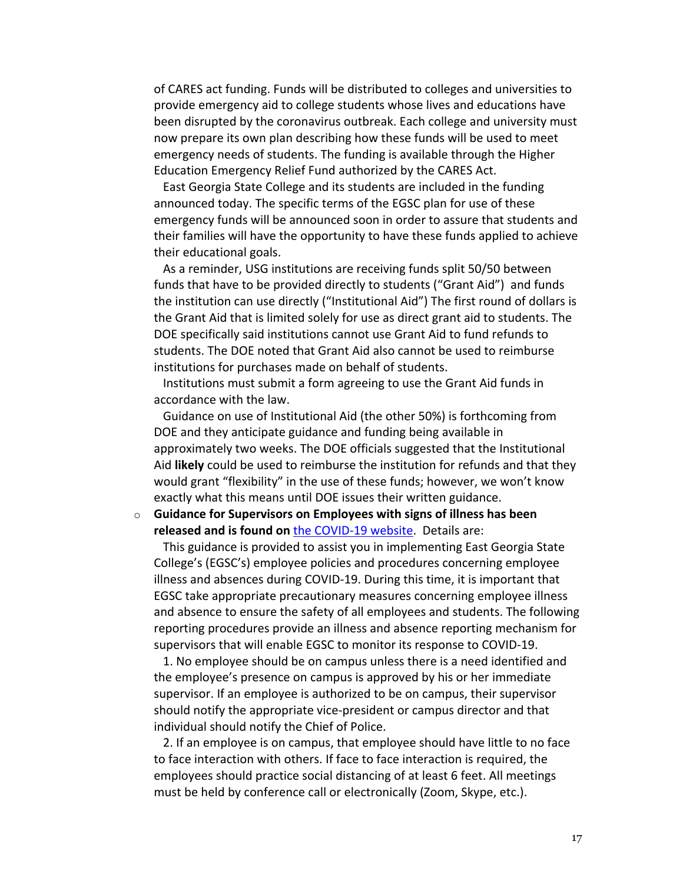of CARES act funding. Funds will be distributed to colleges and universities to provide emergency aid to college students whose lives and educations have been disrupted by the coronavirus outbreak. Each college and university must now prepare its own plan describing how these funds will be used to meet emergency needs of students. The funding is available through the Higher Education Emergency Relief Fund authorized by the CARES Act.

East Georgia State College and its students are included in the funding announced today. The specific terms of the EGSC plan for use of these emergency funds will be announced soon in order to assure that students and their families will have the opportunity to have these funds applied to achieve their educational goals.

As a reminder, USG institutions are receiving funds split 50/50 between funds that have to be provided directly to students ("Grant Aid") and funds the institution can use directly ("Institutional Aid") The first round of dollars is the Grant Aid that is limited solely for use as direct grant aid to students. The DOE specifically said institutions cannot use Grant Aid to fund refunds to students. The DOE noted that Grant Aid also cannot be used to reimburse institutions for purchases made on behalf of students.

Institutions must submit a form agreeing to use the Grant Aid funds in accordance with the law.

Guidance on use of Institutional Aid (the other 50%) is forthcoming from DOE and they anticipate guidance and funding being available in approximately two weeks. The DOE officials suggested that the Institutional Aid **likely** could be used to reimburse the institution for refunds and that they would grant "flexibility" in the use of these funds; however, we won't know exactly what this means until DOE issues their written guidance.

## o **Guidance for Supervisors on Employees with signs of illness has been released and is found on** the COVID-19 website. Details are:

This guidance is provided to assist you in implementing East Georgia State College's (EGSC's) employee policies and procedures concerning employee illness and absences during COVID-19. During this time, it is important that EGSC take appropriate precautionary measures concerning employee illness and absence to ensure the safety of all employees and students. The following reporting procedures provide an illness and absence reporting mechanism for supervisors that will enable EGSC to monitor its response to COVID-19.

1. No employee should be on campus unless there is a need identified and the employee's presence on campus is approved by his or her immediate supervisor. If an employee is authorized to be on campus, their supervisor should notify the appropriate vice-president or campus director and that individual should notify the Chief of Police.

2. If an employee is on campus, that employee should have little to no face to face interaction with others. If face to face interaction is required, the employees should practice social distancing of at least 6 feet. All meetings must be held by conference call or electronically (Zoom, Skype, etc.).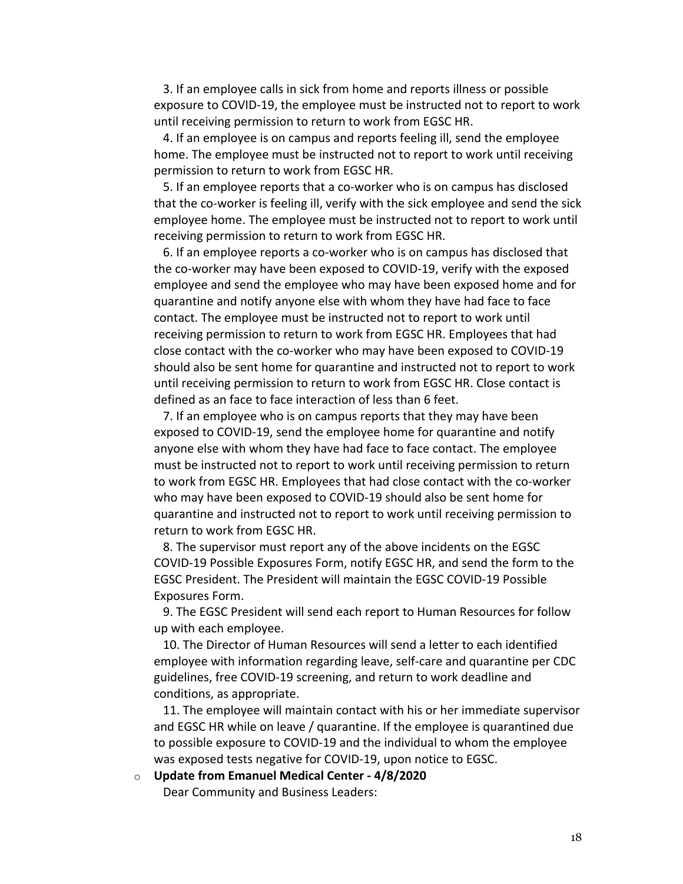3. If an employee calls in sick from home and reports illness or possible exposure to COVID-19, the employee must be instructed not to report to work until receiving permission to return to work from EGSC HR.

4. If an employee is on campus and reports feeling ill, send the employee home. The employee must be instructed not to report to work until receiving permission to return to work from EGSC HR.

5. If an employee reports that a co-worker who is on campus has disclosed that the co-worker is feeling ill, verify with the sick employee and send the sick employee home. The employee must be instructed not to report to work until receiving permission to return to work from EGSC HR.

6. If an employee reports a co-worker who is on campus has disclosed that the co-worker may have been exposed to COVID-19, verify with the exposed employee and send the employee who may have been exposed home and for quarantine and notify anyone else with whom they have had face to face contact. The employee must be instructed not to report to work until receiving permission to return to work from EGSC HR. Employees that had close contact with the co-worker who may have been exposed to COVID-19 should also be sent home for quarantine and instructed not to report to work until receiving permission to return to work from EGSC HR. Close contact is defined as an face to face interaction of less than 6 feet.

7. If an employee who is on campus reports that they may have been exposed to COVID-19, send the employee home for quarantine and notify anyone else with whom they have had face to face contact. The employee must be instructed not to report to work until receiving permission to return to work from EGSC HR. Employees that had close contact with the co-worker who may have been exposed to COVID-19 should also be sent home for quarantine and instructed not to report to work until receiving permission to return to work from EGSC HR.

8. The supervisor must report any of the above incidents on the EGSC COVID-19 Possible Exposures Form, notify EGSC HR, and send the form to the EGSC President. The President will maintain the EGSC COVID-19 Possible Exposures Form.

9. The EGSC President will send each report to Human Resources for follow up with each employee.

10. The Director of Human Resources will send a letter to each identified employee with information regarding leave, self-care and quarantine per CDC guidelines, free COVID-19 screening, and return to work deadline and conditions, as appropriate.

11. The employee will maintain contact with his or her immediate supervisor and EGSC HR while on leave / quarantine. If the employee is quarantined due to possible exposure to COVID-19 and the individual to whom the employee was exposed tests negative for COVID-19, upon notice to EGSC.

o **Update from Emanuel Medical Center - 4/8/2020** Dear Community and Business Leaders: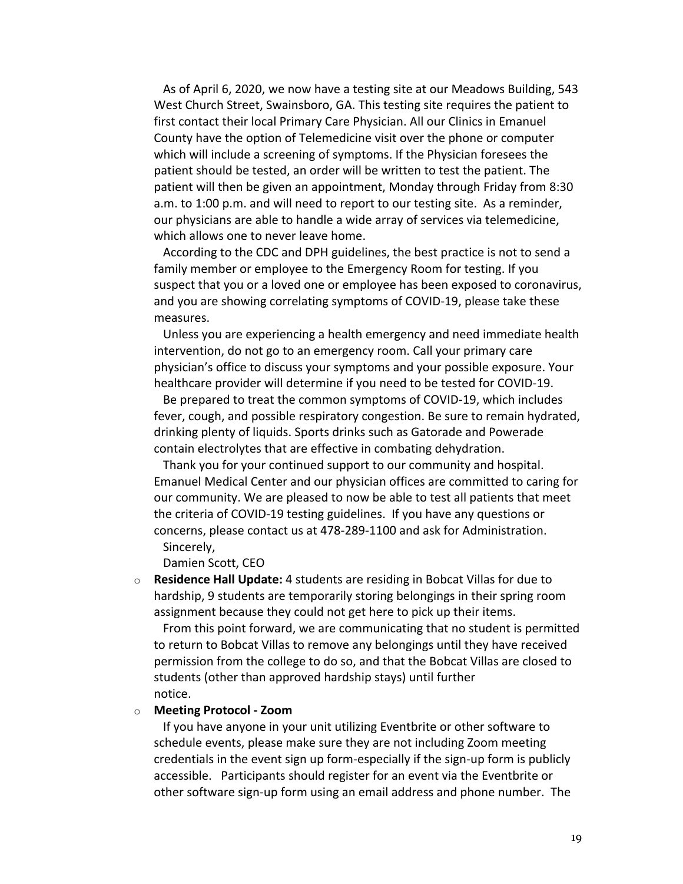As of April 6, 2020, we now have a testing site at our Meadows Building, 543 West Church Street, Swainsboro, GA. This testing site requires the patient to first contact their local Primary Care Physician. All our Clinics in Emanuel County have the option of Telemedicine visit over the phone or computer which will include a screening of symptoms. If the Physician foresees the patient should be tested, an order will be written to test the patient. The patient will then be given an appointment, Monday through Friday from 8:30 a.m. to 1:00 p.m. and will need to report to our testing site. As a reminder, our physicians are able to handle a wide array of services via telemedicine, which allows one to never leave home.

According to the CDC and DPH guidelines, the best practice is not to send a family member or employee to the Emergency Room for testing. If you suspect that you or a loved one or employee has been exposed to coronavirus, and you are showing correlating symptoms of COVID-19, please take these measures.

Unless you are experiencing a health emergency and need immediate health intervention, do not go to an emergency room. Call your primary care physician's office to discuss your symptoms and your possible exposure. Your healthcare provider will determine if you need to be tested for COVID-19.

Be prepared to treat the common symptoms of COVID-19, which includes fever, cough, and possible respiratory congestion. Be sure to remain hydrated, drinking plenty of liquids. Sports drinks such as Gatorade and Powerade contain electrolytes that are effective in combating dehydration.

Thank you for your continued support to our community and hospital. Emanuel Medical Center and our physician offices are committed to caring for our community. We are pleased to now be able to test all patients that meet the criteria of COVID-19 testing guidelines. If you have any questions or concerns, please contact us at 478-289-1100 and ask for Administration. Sincerely,

Damien Scott, CEO

o **Residence Hall Update:** 4 students are residing in Bobcat Villas for due to hardship, 9 students are temporarily storing belongings in their spring room assignment because they could not get here to pick up their items.

From this point forward, we are communicating that no student is permitted to return to Bobcat Villas to remove any belongings until they have received permission from the college to do so, and that the Bobcat Villas are closed to students (other than approved hardship stays) until further notice.

#### o **Meeting Protocol - Zoom**

If you have anyone in your unit utilizing Eventbrite or other software to schedule events, please make sure they are not including Zoom meeting credentials in the event sign up form-especially if the sign-up form is publicly accessible. Participants should register for an event via the Eventbrite or other software sign-up form using an email address and phone number. The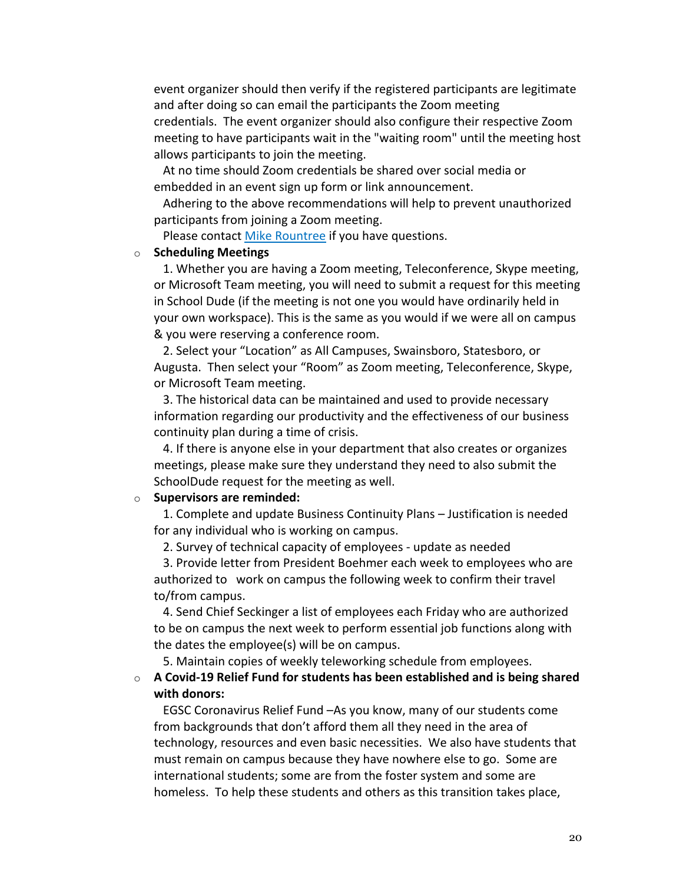event organizer should then verify if the registered participants are legitimate and after doing so can email the participants the Zoom meeting credentials. The event organizer should also configure their respective Zoom meeting to have participants wait in the "waiting room" until the meeting host allows participants to join the meeting.

At no time should Zoom credentials be shared over social media or embedded in an event sign up form or link announcement.

Adhering to the above recommendations will help to prevent unauthorized participants from joining a Zoom meeting.

Please contact Mike Rountree if you have questions.

### o **Scheduling Meetings**

1. Whether you are having a Zoom meeting, Teleconference, Skype meeting, or Microsoft Team meeting, you will need to submit a request for this meeting in School Dude (if the meeting is not one you would have ordinarily held in your own workspace). This is the same as you would if we were all on campus & you were reserving a conference room.

2. Select your "Location" as All Campuses, Swainsboro, Statesboro, or Augusta. Then select your "Room" as Zoom meeting, Teleconference, Skype, or Microsoft Team meeting.

3. The historical data can be maintained and used to provide necessary information regarding our productivity and the effectiveness of our business continuity plan during a time of crisis.

4. If there is anyone else in your department that also creates or organizes meetings, please make sure they understand they need to also submit the SchoolDude request for the meeting as well.

### o **Supervisors are reminded:**

1. Complete and update Business Continuity Plans – Justification is needed for any individual who is working on campus.

2. Survey of technical capacity of employees - update as needed

3. Provide letter from President Boehmer each week to employees who are authorized to work on campus the following week to confirm their travel to/from campus.

4. Send Chief Seckinger a list of employees each Friday who are authorized to be on campus the next week to perform essential job functions along with the dates the employee(s) will be on campus.

5. Maintain copies of weekly teleworking schedule from employees.

o **A Covid-19 Relief Fund for students has been established and is being shared with donors:**

EGSC Coronavirus Relief Fund –As you know, many of our students come from backgrounds that don't afford them all they need in the area of technology, resources and even basic necessities. We also have students that must remain on campus because they have nowhere else to go. Some are international students; some are from the foster system and some are homeless. To help these students and others as this transition takes place,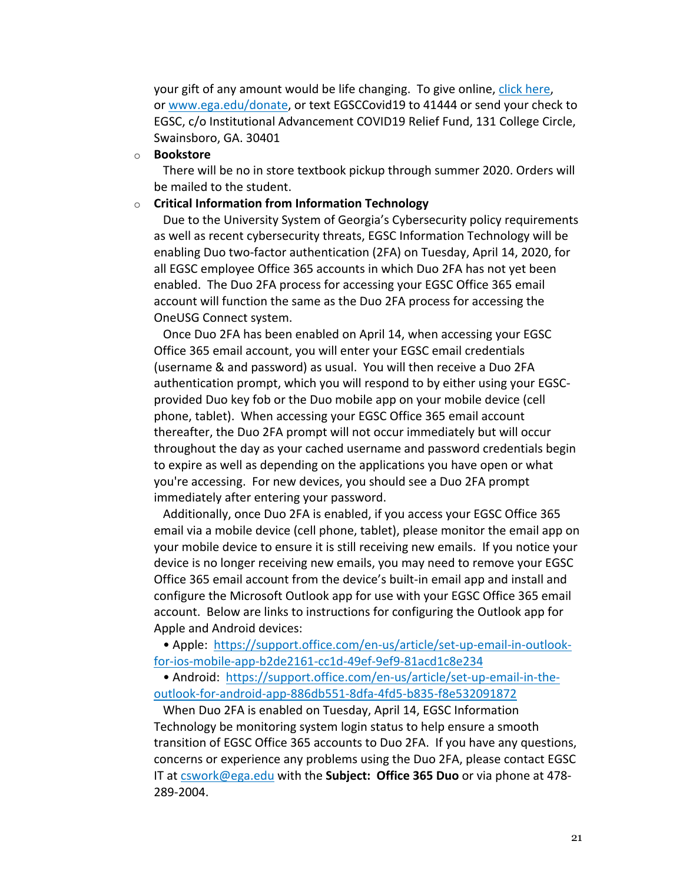your gift of any amount would be life changing. To give online, click here, or www.ega.edu/donate, or text EGSCCovid19 to 41444 or send your check to EGSC, c/o Institutional Advancement COVID19 Relief Fund, 131 College Circle, Swainsboro, GA. 30401

## o **Bookstore**

There will be no in store textbook pickup through summer 2020. Orders will be mailed to the student.

## o **Critical Information from Information Technology**

Due to the University System of Georgia's Cybersecurity policy requirements as well as recent cybersecurity threats, EGSC Information Technology will be enabling Duo two-factor authentication (2FA) on Tuesday, April 14, 2020, for all EGSC employee Office 365 accounts in which Duo 2FA has not yet been enabled. The Duo 2FA process for accessing your EGSC Office 365 email account will function the same as the Duo 2FA process for accessing the OneUSG Connect system.

Once Duo 2FA has been enabled on April 14, when accessing your EGSC Office 365 email account, you will enter your EGSC email credentials (username & and password) as usual. You will then receive a Duo 2FA authentication prompt, which you will respond to by either using your EGSCprovided Duo key fob or the Duo mobile app on your mobile device (cell phone, tablet). When accessing your EGSC Office 365 email account thereafter, the Duo 2FA prompt will not occur immediately but will occur throughout the day as your cached username and password credentials begin to expire as well as depending on the applications you have open or what you're accessing. For new devices, you should see a Duo 2FA prompt immediately after entering your password.

Additionally, once Duo 2FA is enabled, if you access your EGSC Office 365 email via a mobile device (cell phone, tablet), please monitor the email app on your mobile device to ensure it is still receiving new emails. If you notice your device is no longer receiving new emails, you may need to remove your EGSC Office 365 email account from the device's built-in email app and install and configure the Microsoft Outlook app for use with your EGSC Office 365 email account. Below are links to instructions for configuring the Outlook app for Apple and Android devices:

• Apple: https://support.office.com/en-us/article/set-up-email-in-outlookfor-ios-mobile-app-b2de2161-cc1d-49ef-9ef9-81acd1c8e234

• Android: https://support.office.com/en-us/article/set-up-email-in-theoutlook-for-android-app-886db551-8dfa-4fd5-b835-f8e532091872

When Duo 2FA is enabled on Tuesday, April 14, EGSC Information Technology be monitoring system login status to help ensure a smooth transition of EGSC Office 365 accounts to Duo 2FA. If you have any questions, concerns or experience any problems using the Duo 2FA, please contact EGSC IT at cswork@ega.edu with the **Subject: Office 365 Duo** or via phone at 478- 289-2004.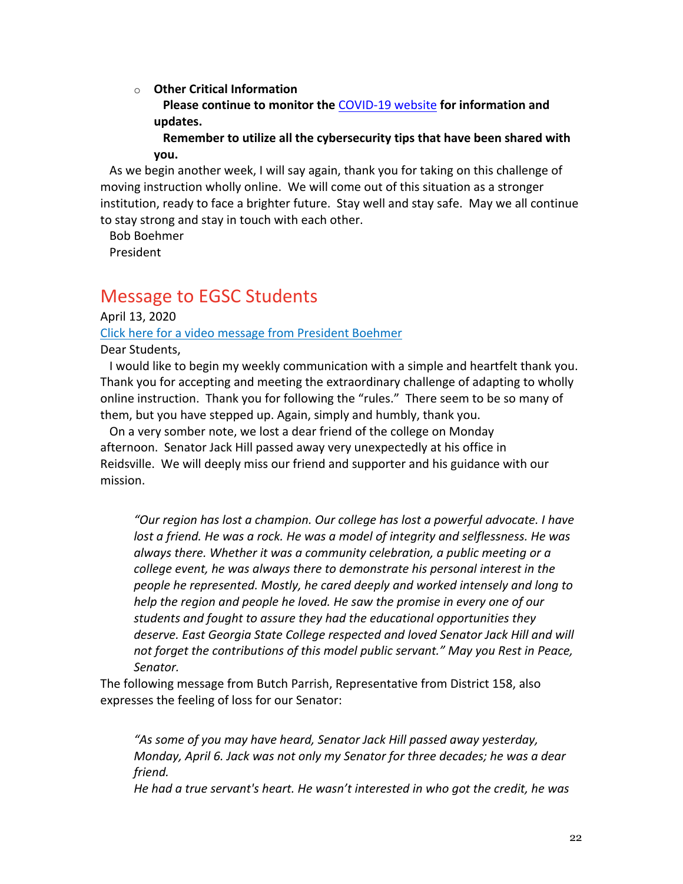o **Other Critical Information**

**Please continue to monitor the** COVID-19 website **for information and updates.**

**Remember to utilize all the cybersecurity tips that have been shared with you.**

As we begin another week, I will say again, thank you for taking on this challenge of moving instruction wholly online. We will come out of this situation as a stronger institution, ready to face a brighter future. Stay well and stay safe. May we all continue to stay strong and stay in touch with each other.

Bob Boehmer

President

# Message to EGSC Students

April 13, 2020

Click here for a video message from President Boehmer

Dear Students,

I would like to begin my weekly communication with a simple and heartfelt thank you. Thank you for accepting and meeting the extraordinary challenge of adapting to wholly online instruction. Thank you for following the "rules." There seem to be so many of them, but you have stepped up. Again, simply and humbly, thank you.

On a very somber note, we lost a dear friend of the college on Monday afternoon. Senator Jack Hill passed away very unexpectedly at his office in Reidsville. We will deeply miss our friend and supporter and his guidance with our mission.

*"Our region has lost a champion. Our college has lost a powerful advocate. I have lost a friend. He was a rock. He was a model of integrity and selflessness. He was always there. Whether it was a community celebration, a public meeting or a college event, he was always there to demonstrate his personal interest in the people he represented. Mostly, he cared deeply and worked intensely and long to help the region and people he loved. He saw the promise in every one of our students and fought to assure they had the educational opportunities they deserve. East Georgia State College respected and loved Senator Jack Hill and will not forget the contributions of this model public servant." May you Rest in Peace, Senator.*

The following message from Butch Parrish, Representative from District 158, also expresses the feeling of loss for our Senator:

*"As some of you may have heard, Senator Jack Hill passed away yesterday, Monday, April 6. Jack was not only my Senator for three decades; he was a dear friend.*

*He had a true servant's heart. He wasn't interested in who got the credit, he was*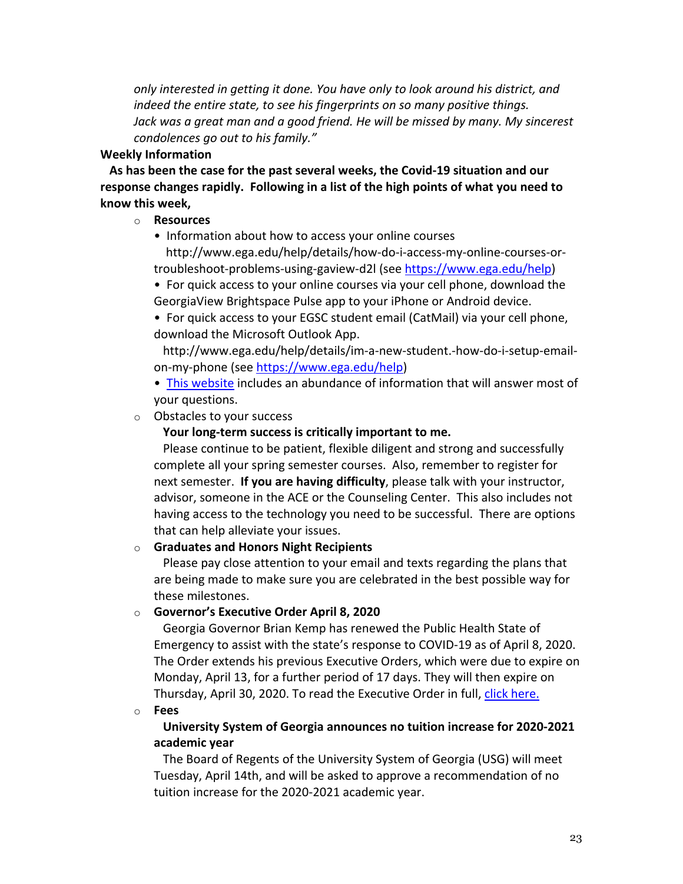*only interested in getting it done. You have only to look around his district, and indeed the entire state, to see his fingerprints on so many positive things. Jack was a great man and a good friend. He will be missed by many. My sincerest condolences go out to his family."*

# **Weekly Information**

**As has been the case for the past several weeks, the Covid-19 situation and our response changes rapidly. Following in a list of the high points of what you need to know this week,**

# o **Resources**

• Information about how to access your online courses http://www.ega.edu/help/details/how-do-i-access-my-online-courses-ortroubleshoot-problems-using-gaview-d2l (see https://www.ega.edu/help)

• For quick access to your online courses via your cell phone, download the GeorgiaView Brightspace Pulse app to your iPhone or Android device.

• For quick access to your EGSC student email (CatMail) via your cell phone, download the Microsoft Outlook App.

http://www.ega.edu/help/details/im-a-new-student.-how-do-i-setup-emailon-my-phone (see https://www.ega.edu/help)

• This website includes an abundance of information that will answer most of your questions.

o Obstacles to your success

# **Your long-term success is critically important to me.**

Please continue to be patient, flexible diligent and strong and successfully complete all your spring semester courses. Also, remember to register for next semester. **If you are having difficulty**, please talk with your instructor, advisor, someone in the ACE or the Counseling Center. This also includes not having access to the technology you need to be successful. There are options that can help alleviate your issues.

# o **Graduates and Honors Night Recipients**

Please pay close attention to your email and texts regarding the plans that are being made to make sure you are celebrated in the best possible way for these milestones.

## o **Governor's Executive Order April 8, 2020**

Georgia Governor Brian Kemp has renewed the Public Health State of Emergency to assist with the state's response to COVID-19 as of April 8, 2020. The Order extends his previous Executive Orders, which were due to expire on Monday, April 13, for a further period of 17 days. They will then expire on Thursday, April 30, 2020. To read the Executive Order in full, click here.

o **Fees**

# **University System of Georgia announces no tuition increase for 2020-2021 academic year**

The Board of Regents of the University System of Georgia (USG) will meet Tuesday, April 14th, and will be asked to approve a recommendation of no tuition increase for the 2020-2021 academic year.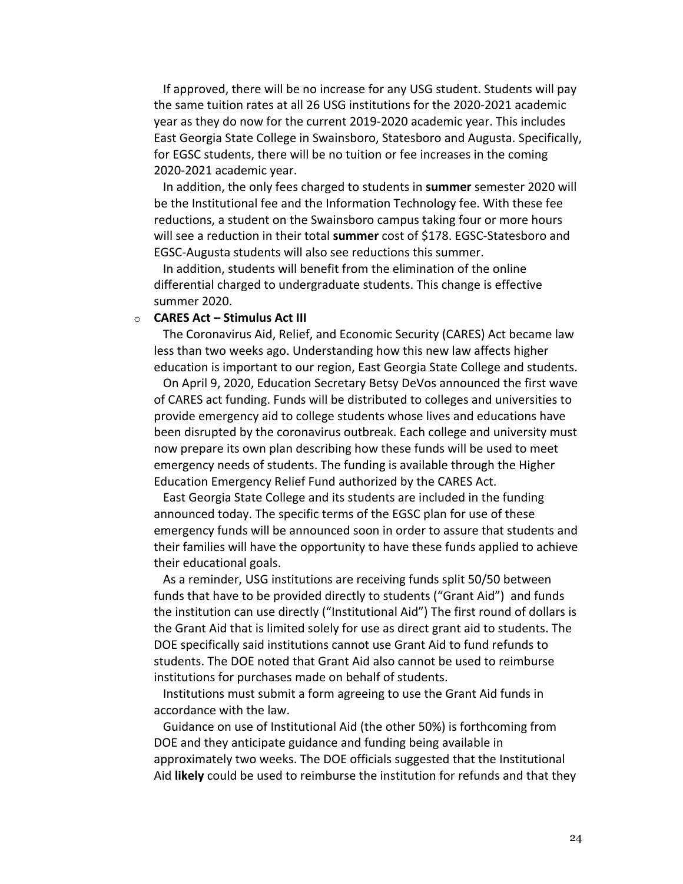If approved, there will be no increase for any USG student. Students will pay the same tuition rates at all 26 USG institutions for the 2020-2021 academic year as they do now for the current 2019-2020 academic year. This includes East Georgia State College in Swainsboro, Statesboro and Augusta. Specifically, for EGSC students, there will be no tuition or fee increases in the coming 2020-2021 academic year.

In addition, the only fees charged to students in **summer** semester 2020 will be the Institutional fee and the Information Technology fee. With these fee reductions, a student on the Swainsboro campus taking four or more hours will see a reduction in their total **summer** cost of \$178. EGSC-Statesboro and EGSC-Augusta students will also see reductions this summer.

In addition, students will benefit from the elimination of the online differential charged to undergraduate students. This change is effective summer 2020.

### o **CARES Act – Stimulus Act III**

The Coronavirus Aid, Relief, and Economic Security (CARES) Act became law less than two weeks ago. Understanding how this new law affects higher education is important to our region, East Georgia State College and students.

On April 9, 2020, Education Secretary Betsy DeVos announced the first wave of CARES act funding. Funds will be distributed to colleges and universities to provide emergency aid to college students whose lives and educations have been disrupted by the coronavirus outbreak. Each college and university must now prepare its own plan describing how these funds will be used to meet emergency needs of students. The funding is available through the Higher Education Emergency Relief Fund authorized by the CARES Act.

East Georgia State College and its students are included in the funding announced today. The specific terms of the EGSC plan for use of these emergency funds will be announced soon in order to assure that students and their families will have the opportunity to have these funds applied to achieve their educational goals.

As a reminder, USG institutions are receiving funds split 50/50 between funds that have to be provided directly to students ("Grant Aid") and funds the institution can use directly ("Institutional Aid") The first round of dollars is the Grant Aid that is limited solely for use as direct grant aid to students. The DOE specifically said institutions cannot use Grant Aid to fund refunds to students. The DOE noted that Grant Aid also cannot be used to reimburse institutions for purchases made on behalf of students.

Institutions must submit a form agreeing to use the Grant Aid funds in accordance with the law.

Guidance on use of Institutional Aid (the other 50%) is forthcoming from DOE and they anticipate guidance and funding being available in approximately two weeks. The DOE officials suggested that the Institutional Aid **likely** could be used to reimburse the institution for refunds and that they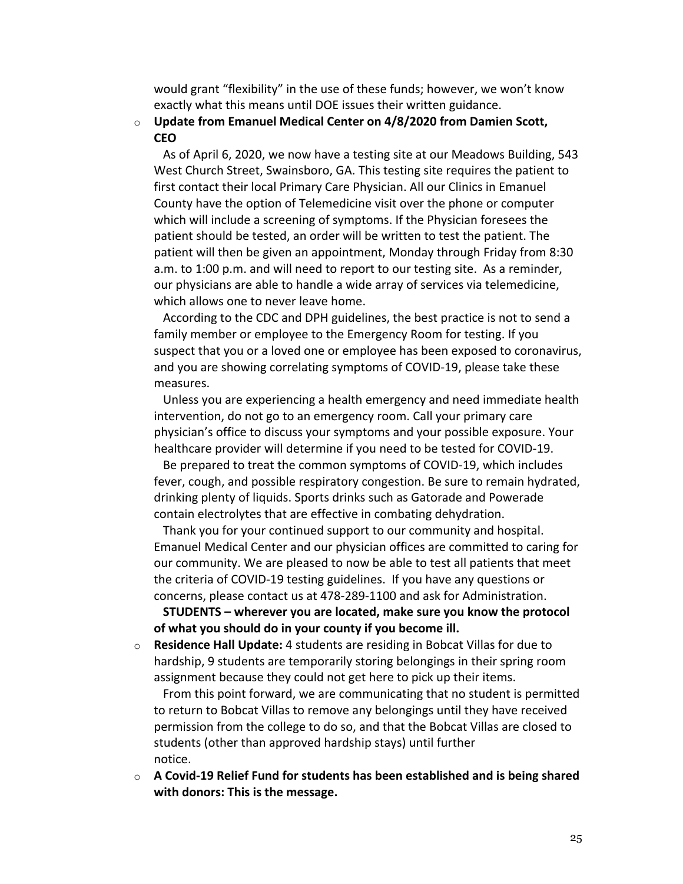would grant "flexibility" in the use of these funds; however, we won't know exactly what this means until DOE issues their written guidance.

## o **Update from Emanuel Medical Center on 4/8/2020 from Damien Scott, CEO**

As of April 6, 2020, we now have a testing site at our Meadows Building, 543 West Church Street, Swainsboro, GA. This testing site requires the patient to first contact their local Primary Care Physician. All our Clinics in Emanuel County have the option of Telemedicine visit over the phone or computer which will include a screening of symptoms. If the Physician foresees the patient should be tested, an order will be written to test the patient. The patient will then be given an appointment, Monday through Friday from 8:30 a.m. to 1:00 p.m. and will need to report to our testing site. As a reminder, our physicians are able to handle a wide array of services via telemedicine, which allows one to never leave home.

According to the CDC and DPH guidelines, the best practice is not to send a family member or employee to the Emergency Room for testing. If you suspect that you or a loved one or employee has been exposed to coronavirus, and you are showing correlating symptoms of COVID-19, please take these measures.

Unless you are experiencing a health emergency and need immediate health intervention, do not go to an emergency room. Call your primary care physician's office to discuss your symptoms and your possible exposure. Your healthcare provider will determine if you need to be tested for COVID-19.

Be prepared to treat the common symptoms of COVID-19, which includes fever, cough, and possible respiratory congestion. Be sure to remain hydrated, drinking plenty of liquids. Sports drinks such as Gatorade and Powerade contain electrolytes that are effective in combating dehydration.

Thank you for your continued support to our community and hospital. Emanuel Medical Center and our physician offices are committed to caring for our community. We are pleased to now be able to test all patients that meet the criteria of COVID-19 testing guidelines. If you have any questions or concerns, please contact us at 478-289-1100 and ask for Administration.

**STUDENTS – wherever you are located, make sure you know the protocol of what you should do in your county if you become ill.**

o **Residence Hall Update:** 4 students are residing in Bobcat Villas for due to hardship, 9 students are temporarily storing belongings in their spring room assignment because they could not get here to pick up their items.

From this point forward, we are communicating that no student is permitted to return to Bobcat Villas to remove any belongings until they have received permission from the college to do so, and that the Bobcat Villas are closed to students (other than approved hardship stays) until further notice.

o **A Covid-19 Relief Fund for students has been established and is being shared with donors: This is the message.**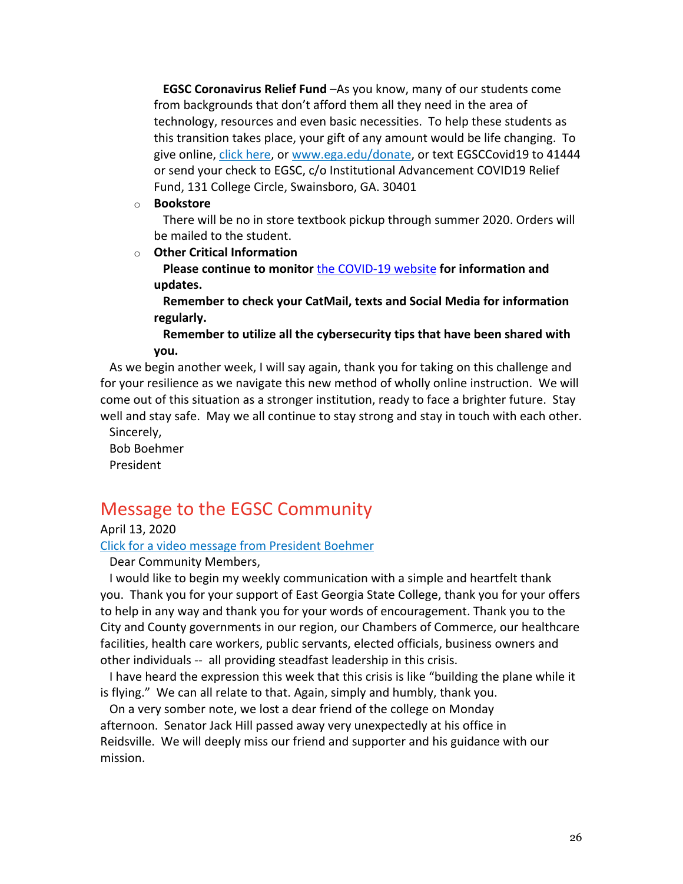**EGSC Coronavirus Relief Fund** –As you know, many of our students come from backgrounds that don't afford them all they need in the area of technology, resources and even basic necessities. To help these students as this transition takes place, your gift of any amount would be life changing. To give online, click here, or www.ega.edu/donate, or text EGSCCovid19 to 41444 or send your check to EGSC, c/o Institutional Advancement COVID19 Relief Fund, 131 College Circle, Swainsboro, GA. 30401

o **Bookstore**

There will be no in store textbook pickup through summer 2020. Orders will be mailed to the student.

o **Other Critical Information**

**Please continue to monitor** the COVID-19 website **for information and updates.**

**Remember to check your CatMail, texts and Social Media for information regularly.**

**Remember to utilize all the cybersecurity tips that have been shared with you.**

As we begin another week, I will say again, thank you for taking on this challenge and for your resilience as we navigate this new method of wholly online instruction. We will come out of this situation as a stronger institution, ready to face a brighter future. Stay well and stay safe. May we all continue to stay strong and stay in touch with each other.

Sincerely, Bob Boehmer President

# Message to the EGSC Community

April 13, 2020

Click for a video message from President Boehmer

Dear Community Members,

I would like to begin my weekly communication with a simple and heartfelt thank you. Thank you for your support of East Georgia State College, thank you for your offers to help in any way and thank you for your words of encouragement. Thank you to the City and County governments in our region, our Chambers of Commerce, our healthcare facilities, health care workers, public servants, elected officials, business owners and other individuals -- all providing steadfast leadership in this crisis.

I have heard the expression this week that this crisis is like "building the plane while it is flying." We can all relate to that. Again, simply and humbly, thank you.

On a very somber note, we lost a dear friend of the college on Monday afternoon. Senator Jack Hill passed away very unexpectedly at his office in Reidsville. We will deeply miss our friend and supporter and his guidance with our mission.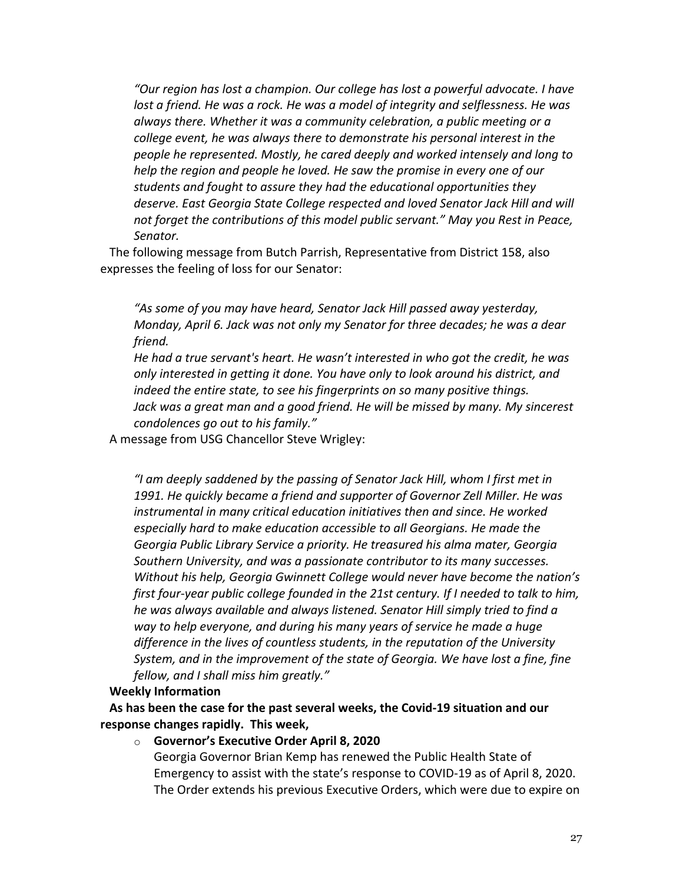*"Our region has lost a champion. Our college has lost a powerful advocate. I have lost a friend. He was a rock. He was a model of integrity and selflessness. He was always there. Whether it was a community celebration, a public meeting or a college event, he was always there to demonstrate his personal interest in the people he represented. Mostly, he cared deeply and worked intensely and long to help the region and people he loved. He saw the promise in every one of our students and fought to assure they had the educational opportunities they deserve. East Georgia State College respected and loved Senator Jack Hill and will not forget the contributions of this model public servant." May you Rest in Peace, Senator.*

The following message from Butch Parrish, Representative from District 158, also expresses the feeling of loss for our Senator:

*"As some of you may have heard, Senator Jack Hill passed away yesterday, Monday, April 6. Jack was not only my Senator for three decades; he was a dear friend.*

*He had a true servant's heart. He wasn't interested in who got the credit, he was only interested in getting it done. You have only to look around his district, and indeed the entire state, to see his fingerprints on so many positive things. Jack was a great man and a good friend. He will be missed by many. My sincerest condolences go out to his family."*

A message from USG Chancellor Steve Wrigley:

*"I am deeply saddened by the passing of Senator Jack Hill, whom I first met in 1991. He quickly became a friend and supporter of Governor Zell Miller. He was instrumental in many critical education initiatives then and since. He worked especially hard to make education accessible to all Georgians. He made the Georgia Public Library Service a priority. He treasured his alma mater, Georgia Southern University, and was a passionate contributor to its many successes. Without his help, Georgia Gwinnett College would never have become the nation's first four-year public college founded in the 21st century. If I needed to talk to him, he was always available and always listened. Senator Hill simply tried to find a way to help everyone, and during his many years of service he made a huge difference in the lives of countless students, in the reputation of the University System, and in the improvement of the state of Georgia. We have lost a fine, fine fellow, and I shall miss him greatly."*

#### **Weekly Information**

**As has been the case for the past several weeks, the Covid-19 situation and our response changes rapidly. This week,**

o **Governor's Executive Order April 8, 2020** Georgia Governor Brian Kemp has renewed the Public Health State of Emergency to assist with the state's response to COVID-19 as of April 8, 2020. The Order extends his previous Executive Orders, which were due to expire on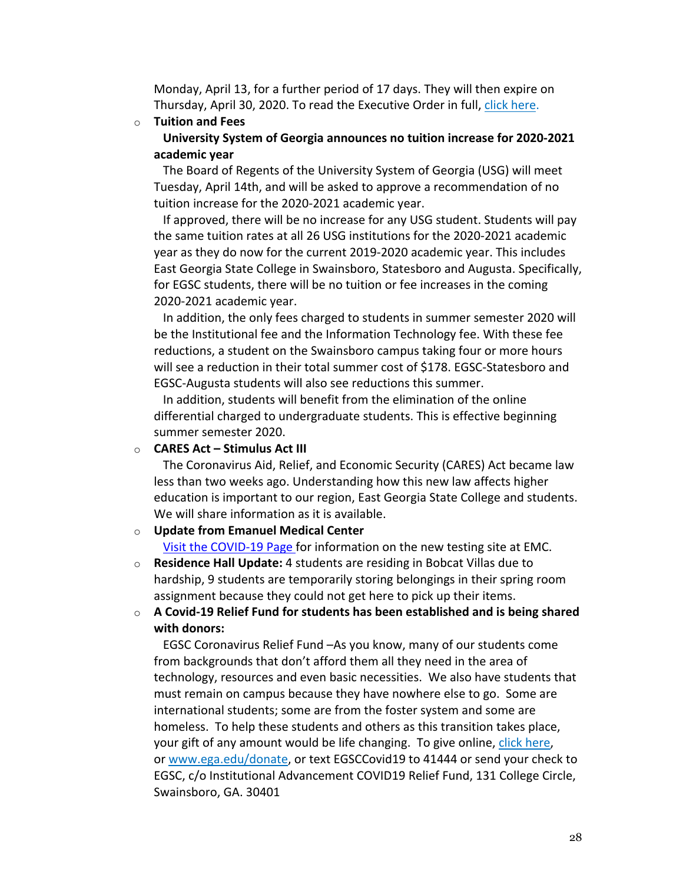Monday, April 13, for a further period of 17 days. They will then expire on Thursday, April 30, 2020. To read the Executive Order in full, click here.

#### o **Tuition and Fees**

**University System of Georgia announces no tuition increase for 2020-2021 academic year**

The Board of Regents of the University System of Georgia (USG) will meet Tuesday, April 14th, and will be asked to approve a recommendation of no tuition increase for the 2020-2021 academic year.

If approved, there will be no increase for any USG student. Students will pay the same tuition rates at all 26 USG institutions for the 2020-2021 academic year as they do now for the current 2019-2020 academic year. This includes East Georgia State College in Swainsboro, Statesboro and Augusta. Specifically, for EGSC students, there will be no tuition or fee increases in the coming 2020-2021 academic year.

In addition, the only fees charged to students in summer semester 2020 will be the Institutional fee and the Information Technology fee. With these fee reductions, a student on the Swainsboro campus taking four or more hours will see a reduction in their total summer cost of \$178. EGSC-Statesboro and EGSC-Augusta students will also see reductions this summer.

In addition, students will benefit from the elimination of the online differential charged to undergraduate students. This is effective beginning summer semester 2020.

## o **CARES Act – Stimulus Act III**

The Coronavirus Aid, Relief, and Economic Security (CARES) Act became law less than two weeks ago. Understanding how this new law affects higher education is important to our region, East Georgia State College and students. We will share information as it is available.

## o **Update from Emanuel Medical Center**

Visit the COVID-19 Page for information on the new testing site at EMC.

- o **Residence Hall Update:** 4 students are residing in Bobcat Villas due to hardship, 9 students are temporarily storing belongings in their spring room assignment because they could not get here to pick up their items.
- o **A Covid-19 Relief Fund for students has been established and is being shared with donors:**

EGSC Coronavirus Relief Fund –As you know, many of our students come from backgrounds that don't afford them all they need in the area of technology, resources and even basic necessities. We also have students that must remain on campus because they have nowhere else to go. Some are international students; some are from the foster system and some are homeless. To help these students and others as this transition takes place, your gift of any amount would be life changing. To give online, click here, or www.ega.edu/donate, or text EGSCCovid19 to 41444 or send your check to EGSC, c/o Institutional Advancement COVID19 Relief Fund, 131 College Circle, Swainsboro, GA. 30401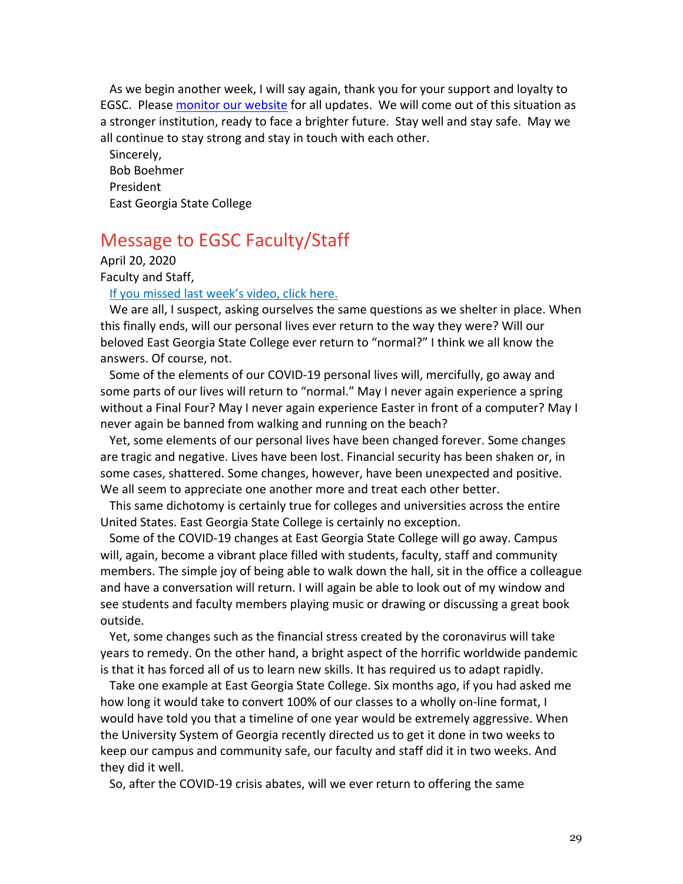As we begin another week, I will say again, thank you for your support and loyalty to EGSC. Please monitor our website for all updates. We will come out of this situation as a stronger institution, ready to face a brighter future. Stay well and stay safe. May we all continue to stay strong and stay in touch with each other.

Sincerely, Bob Boehmer President East Georgia State College

# Message to EGSC Faculty/Staff

April 20, 2020 Faculty and Staff,

If you missed last week's video, click here.

We are all, I suspect, asking ourselves the same questions as we shelter in place. When this finally ends, will our personal lives ever return to the way they were? Will our beloved East Georgia State College ever return to "normal?" I think we all know the answers. Of course, not.

Some of the elements of our COVID-19 personal lives will, mercifully, go away and some parts of our lives will return to "normal." May I never again experience a spring without a Final Four? May I never again experience Easter in front of a computer? May I never again be banned from walking and running on the beach?

Yet, some elements of our personal lives have been changed forever. Some changes are tragic and negative. Lives have been lost. Financial security has been shaken or, in some cases, shattered. Some changes, however, have been unexpected and positive. We all seem to appreciate one another more and treat each other better.

This same dichotomy is certainly true for colleges and universities across the entire United States. East Georgia State College is certainly no exception.

Some of the COVID-19 changes at East Georgia State College will go away. Campus will, again, become a vibrant place filled with students, faculty, staff and community members. The simple joy of being able to walk down the hall, sit in the office a colleague and have a conversation will return. I will again be able to look out of my window and see students and faculty members playing music or drawing or discussing a great book outside.

Yet, some changes such as the financial stress created by the coronavirus will take years to remedy. On the other hand, a bright aspect of the horrific worldwide pandemic is that it has forced all of us to learn new skills. It has required us to adapt rapidly.

Take one example at East Georgia State College. Six months ago, if you had asked me how long it would take to convert 100% of our classes to a wholly on-line format, I would have told you that a timeline of one year would be extremely aggressive. When the University System of Georgia recently directed us to get it done in two weeks to keep our campus and community safe, our faculty and staff did it in two weeks. And they did it well.

So, after the COVID-19 crisis abates, will we ever return to offering the same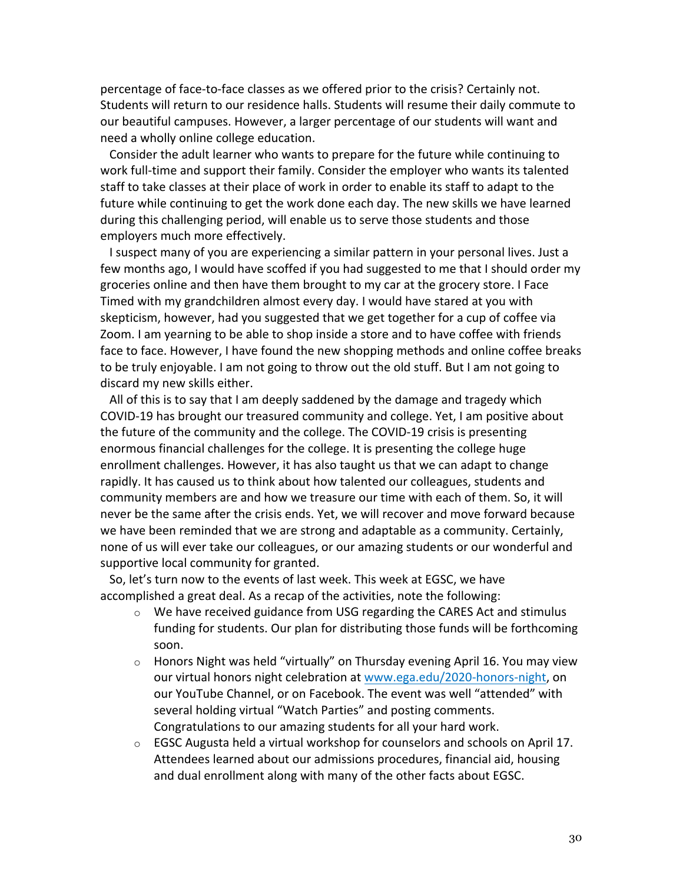percentage of face-to-face classes as we offered prior to the crisis? Certainly not. Students will return to our residence halls. Students will resume their daily commute to our beautiful campuses. However, a larger percentage of our students will want and need a wholly online college education.

Consider the adult learner who wants to prepare for the future while continuing to work full-time and support their family. Consider the employer who wants its talented staff to take classes at their place of work in order to enable its staff to adapt to the future while continuing to get the work done each day. The new skills we have learned during this challenging period, will enable us to serve those students and those employers much more effectively.

I suspect many of you are experiencing a similar pattern in your personal lives. Just a few months ago, I would have scoffed if you had suggested to me that I should order my groceries online and then have them brought to my car at the grocery store. I Face Timed with my grandchildren almost every day. I would have stared at you with skepticism, however, had you suggested that we get together for a cup of coffee via Zoom. I am yearning to be able to shop inside a store and to have coffee with friends face to face. However, I have found the new shopping methods and online coffee breaks to be truly enjoyable. I am not going to throw out the old stuff. But I am not going to discard my new skills either.

All of this is to say that I am deeply saddened by the damage and tragedy which COVID-19 has brought our treasured community and college. Yet, I am positive about the future of the community and the college. The COVID-19 crisis is presenting enormous financial challenges for the college. It is presenting the college huge enrollment challenges. However, it has also taught us that we can adapt to change rapidly. It has caused us to think about how talented our colleagues, students and community members are and how we treasure our time with each of them. So, it will never be the same after the crisis ends. Yet, we will recover and move forward because we have been reminded that we are strong and adaptable as a community. Certainly, none of us will ever take our colleagues, or our amazing students or our wonderful and supportive local community for granted.

So, let's turn now to the events of last week. This week at EGSC, we have accomplished a great deal. As a recap of the activities, note the following:

- $\circ$  We have received guidance from USG regarding the CARES Act and stimulus funding for students. Our plan for distributing those funds will be forthcoming soon.
- o Honors Night was held "virtually" on Thursday evening April 16. You may view our virtual honors night celebration at www.ega.edu/2020-honors-night, on our YouTube Channel, or on Facebook. The event was well "attended" with several holding virtual "Watch Parties" and posting comments. Congratulations to our amazing students for all your hard work.
- o EGSC Augusta held a virtual workshop for counselors and schools on April 17. Attendees learned about our admissions procedures, financial aid, housing and dual enrollment along with many of the other facts about EGSC.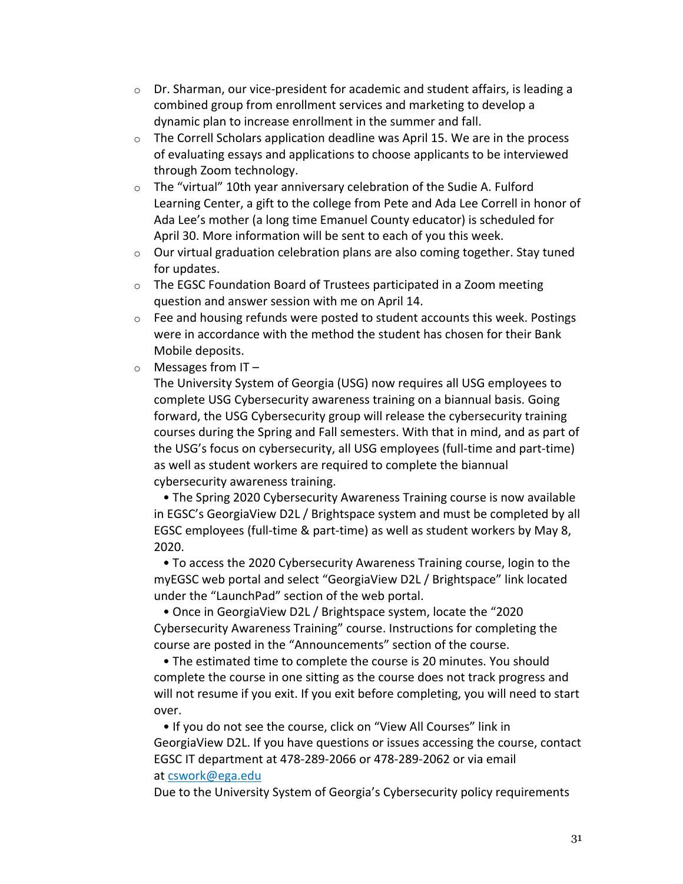- $\circ$  Dr. Sharman, our vice-president for academic and student affairs, is leading a combined group from enrollment services and marketing to develop a dynamic plan to increase enrollment in the summer and fall.
- $\circ$  The Correll Scholars application deadline was April 15. We are in the process of evaluating essays and applications to choose applicants to be interviewed through Zoom technology.
- $\circ$  The "virtual" 10th year anniversary celebration of the Sudie A. Fulford Learning Center, a gift to the college from Pete and Ada Lee Correll in honor of Ada Lee's mother (a long time Emanuel County educator) is scheduled for April 30. More information will be sent to each of you this week.
- $\circ$  Our virtual graduation celebration plans are also coming together. Stay tuned for updates.
- $\circ$  The EGSC Foundation Board of Trustees participated in a Zoom meeting question and answer session with me on April 14.
- $\circ$  Fee and housing refunds were posted to student accounts this week. Postings were in accordance with the method the student has chosen for their Bank Mobile deposits.
- $\circ$  Messages from IT –

The University System of Georgia (USG) now requires all USG employees to complete USG Cybersecurity awareness training on a biannual basis. Going forward, the USG Cybersecurity group will release the cybersecurity training courses during the Spring and Fall semesters. With that in mind, and as part of the USG's focus on cybersecurity, all USG employees (full-time and part-time) as well as student workers are required to complete the biannual cybersecurity awareness training.

• The Spring 2020 Cybersecurity Awareness Training course is now available in EGSC's GeorgiaView D2L / Brightspace system and must be completed by all EGSC employees (full-time & part-time) as well as student workers by May 8, 2020.

• To access the 2020 Cybersecurity Awareness Training course, login to the myEGSC web portal and select "GeorgiaView D2L / Brightspace" link located under the "LaunchPad" section of the web portal.

• Once in GeorgiaView D2L / Brightspace system, locate the "2020 Cybersecurity Awareness Training" course. Instructions for completing the course are posted in the "Announcements" section of the course.

• The estimated time to complete the course is 20 minutes. You should complete the course in one sitting as the course does not track progress and will not resume if you exit. If you exit before completing, you will need to start over.

• If you do not see the course, click on "View All Courses" link in GeorgiaView D2L. If you have questions or issues accessing the course, contact EGSC IT department at 478-289-2066 or 478-289-2062 or via email at cswork@ega.edu

Due to the University System of Georgia's Cybersecurity policy requirements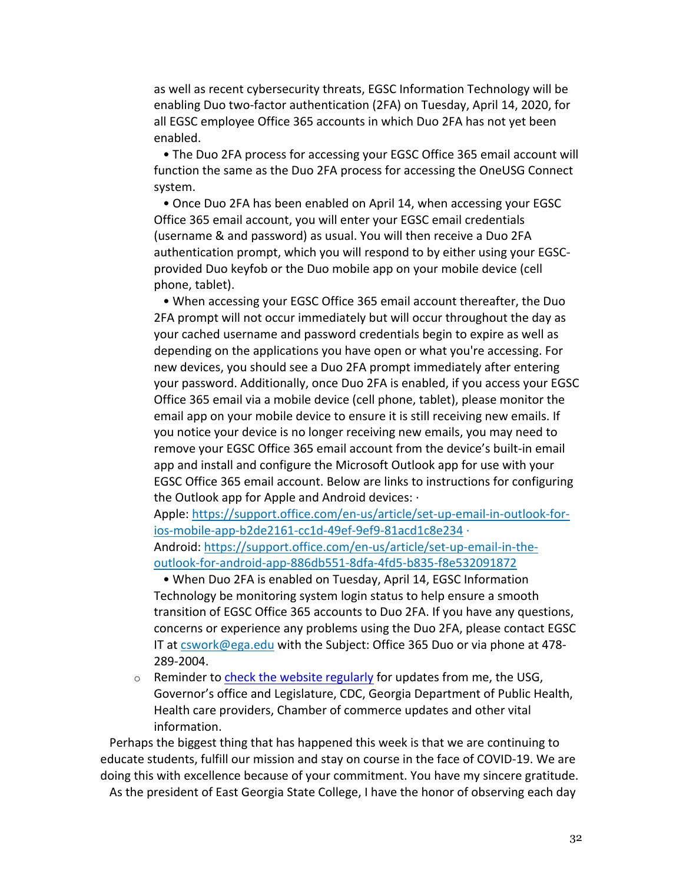as well as recent cybersecurity threats, EGSC Information Technology will be enabling Duo two-factor authentication (2FA) on Tuesday, April 14, 2020, for all EGSC employee Office 365 accounts in which Duo 2FA has not yet been enabled.

• The Duo 2FA process for accessing your EGSC Office 365 email account will function the same as the Duo 2FA process for accessing the OneUSG Connect system.

• Once Duo 2FA has been enabled on April 14, when accessing your EGSC Office 365 email account, you will enter your EGSC email credentials (username & and password) as usual. You will then receive a Duo 2FA authentication prompt, which you will respond to by either using your EGSCprovided Duo keyfob or the Duo mobile app on your mobile device (cell phone, tablet).

• When accessing your EGSC Office 365 email account thereafter, the Duo 2FA prompt will not occur immediately but will occur throughout the day as your cached username and password credentials begin to expire as well as depending on the applications you have open or what you're accessing. For new devices, you should see a Duo 2FA prompt immediately after entering your password. Additionally, once Duo 2FA is enabled, if you access your EGSC Office 365 email via a mobile device (cell phone, tablet), please monitor the email app on your mobile device to ensure it is still receiving new emails. If you notice your device is no longer receiving new emails, you may need to remove your EGSC Office 365 email account from the device's built-in email app and install and configure the Microsoft Outlook app for use with your EGSC Office 365 email account. Below are links to instructions for configuring the Outlook app for Apple and Android devices: ·

Apple: https://support.office.com/en-us/article/set-up-email-in-outlook-forios-mobile-app-b2de2161-cc1d-49ef-9ef9-81acd1c8e234 · Android: https://support.office.com/en-us/article/set-up-email-in-theoutlook-for-android-app-886db551-8dfa-4fd5-b835-f8e532091872

• When Duo 2FA is enabled on Tuesday, April 14, EGSC Information Technology be monitoring system login status to help ensure a smooth transition of EGSC Office 365 accounts to Duo 2FA. If you have any questions, concerns or experience any problems using the Duo 2FA, please contact EGSC IT at cswork@ega.edu with the Subject: Office 365 Duo or via phone at 478- 289-2004.

 $\circ$  Reminder to check the website regularly for updates from me, the USG, Governor's office and Legislature, CDC, Georgia Department of Public Health, Health care providers, Chamber of commerce updates and other vital information.

Perhaps the biggest thing that has happened this week is that we are continuing to educate students, fulfill our mission and stay on course in the face of COVID-19. We are doing this with excellence because of your commitment. You have my sincere gratitude. As the president of East Georgia State College, I have the honor of observing each day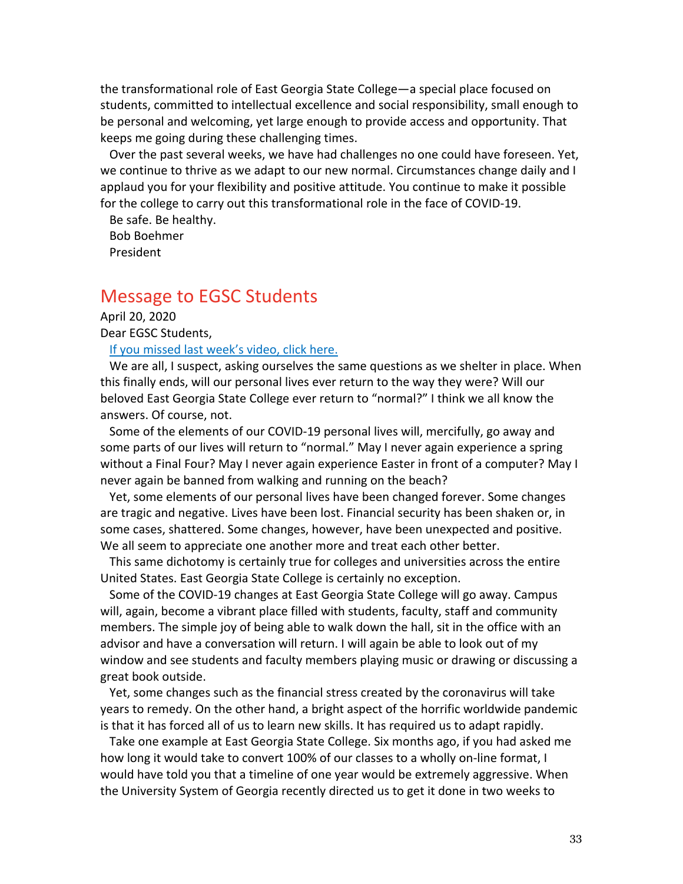the transformational role of East Georgia State College—a special place focused on students, committed to intellectual excellence and social responsibility, small enough to be personal and welcoming, yet large enough to provide access and opportunity. That keeps me going during these challenging times.

Over the past several weeks, we have had challenges no one could have foreseen. Yet, we continue to thrive as we adapt to our new normal. Circumstances change daily and I applaud you for your flexibility and positive attitude. You continue to make it possible for the college to carry out this transformational role in the face of COVID-19.

Be safe. Be healthy. Bob Boehmer President

# Message to EGSC Students

April 20, 2020 Dear EGSC Students,

If you missed last week's video, click here.

We are all, I suspect, asking ourselves the same questions as we shelter in place. When this finally ends, will our personal lives ever return to the way they were? Will our beloved East Georgia State College ever return to "normal?" I think we all know the answers. Of course, not.

Some of the elements of our COVID-19 personal lives will, mercifully, go away and some parts of our lives will return to "normal." May I never again experience a spring without a Final Four? May I never again experience Easter in front of a computer? May I never again be banned from walking and running on the beach?

Yet, some elements of our personal lives have been changed forever. Some changes are tragic and negative. Lives have been lost. Financial security has been shaken or, in some cases, shattered. Some changes, however, have been unexpected and positive. We all seem to appreciate one another more and treat each other better.

This same dichotomy is certainly true for colleges and universities across the entire United States. East Georgia State College is certainly no exception.

Some of the COVID-19 changes at East Georgia State College will go away. Campus will, again, become a vibrant place filled with students, faculty, staff and community members. The simple joy of being able to walk down the hall, sit in the office with an advisor and have a conversation will return. I will again be able to look out of my window and see students and faculty members playing music or drawing or discussing a great book outside.

Yet, some changes such as the financial stress created by the coronavirus will take years to remedy. On the other hand, a bright aspect of the horrific worldwide pandemic is that it has forced all of us to learn new skills. It has required us to adapt rapidly.

Take one example at East Georgia State College. Six months ago, if you had asked me how long it would take to convert 100% of our classes to a wholly on-line format, I would have told you that a timeline of one year would be extremely aggressive. When the University System of Georgia recently directed us to get it done in two weeks to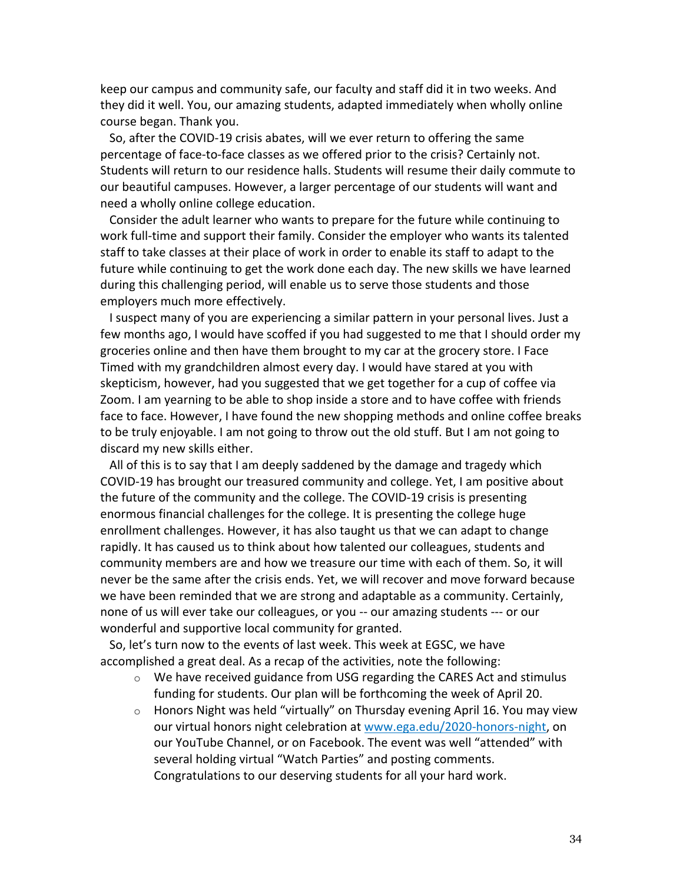keep our campus and community safe, our faculty and staff did it in two weeks. And they did it well. You, our amazing students, adapted immediately when wholly online course began. Thank you.

So, after the COVID-19 crisis abates, will we ever return to offering the same percentage of face-to-face classes as we offered prior to the crisis? Certainly not. Students will return to our residence halls. Students will resume their daily commute to our beautiful campuses. However, a larger percentage of our students will want and need a wholly online college education.

Consider the adult learner who wants to prepare for the future while continuing to work full-time and support their family. Consider the employer who wants its talented staff to take classes at their place of work in order to enable its staff to adapt to the future while continuing to get the work done each day. The new skills we have learned during this challenging period, will enable us to serve those students and those employers much more effectively.

I suspect many of you are experiencing a similar pattern in your personal lives. Just a few months ago, I would have scoffed if you had suggested to me that I should order my groceries online and then have them brought to my car at the grocery store. I Face Timed with my grandchildren almost every day. I would have stared at you with skepticism, however, had you suggested that we get together for a cup of coffee via Zoom. I am yearning to be able to shop inside a store and to have coffee with friends face to face. However, I have found the new shopping methods and online coffee breaks to be truly enjoyable. I am not going to throw out the old stuff. But I am not going to discard my new skills either.

All of this is to say that I am deeply saddened by the damage and tragedy which COVID-19 has brought our treasured community and college. Yet, I am positive about the future of the community and the college. The COVID-19 crisis is presenting enormous financial challenges for the college. It is presenting the college huge enrollment challenges. However, it has also taught us that we can adapt to change rapidly. It has caused us to think about how talented our colleagues, students and community members are and how we treasure our time with each of them. So, it will never be the same after the crisis ends. Yet, we will recover and move forward because we have been reminded that we are strong and adaptable as a community. Certainly, none of us will ever take our colleagues, or you -- our amazing students --- or our wonderful and supportive local community for granted.

So, let's turn now to the events of last week. This week at EGSC, we have accomplished a great deal. As a recap of the activities, note the following:

- $\circ$  We have received guidance from USG regarding the CARES Act and stimulus funding for students. Our plan will be forthcoming the week of April 20.
- $\circ$  Honors Night was held "virtually" on Thursday evening April 16. You may view our virtual honors night celebration at www.ega.edu/2020-honors-night, on our YouTube Channel, or on Facebook. The event was well "attended" with several holding virtual "Watch Parties" and posting comments. Congratulations to our deserving students for all your hard work.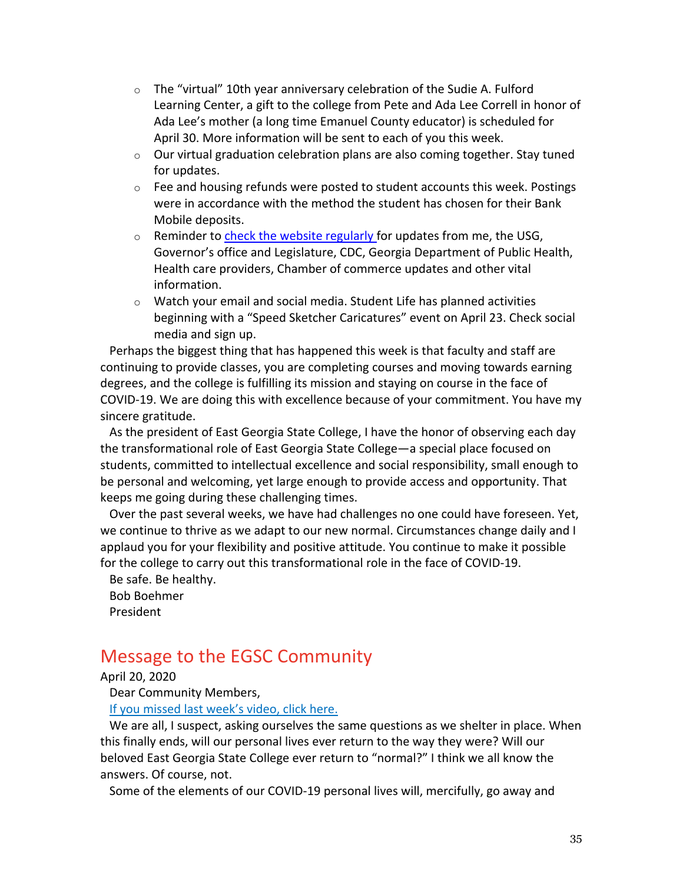- o The "virtual" 10th year anniversary celebration of the Sudie A. Fulford Learning Center, a gift to the college from Pete and Ada Lee Correll in honor of Ada Lee's mother (a long time Emanuel County educator) is scheduled for April 30. More information will be sent to each of you this week.
- $\circ$  Our virtual graduation celebration plans are also coming together. Stay tuned for updates.
- $\circ$  Fee and housing refunds were posted to student accounts this week. Postings were in accordance with the method the student has chosen for their Bank Mobile deposits.
- o Reminder to check the website regularly for updates from me, the USG, Governor's office and Legislature, CDC, Georgia Department of Public Health, Health care providers, Chamber of commerce updates and other vital information.
- o Watch your email and social media. Student Life has planned activities beginning with a "Speed Sketcher Caricatures" event on April 23. Check social media and sign up.

Perhaps the biggest thing that has happened this week is that faculty and staff are continuing to provide classes, you are completing courses and moving towards earning degrees, and the college is fulfilling its mission and staying on course in the face of COVID-19. We are doing this with excellence because of your commitment. You have my sincere gratitude.

As the president of East Georgia State College, I have the honor of observing each day the transformational role of East Georgia State College—a special place focused on students, committed to intellectual excellence and social responsibility, small enough to be personal and welcoming, yet large enough to provide access and opportunity. That keeps me going during these challenging times.

Over the past several weeks, we have had challenges no one could have foreseen. Yet, we continue to thrive as we adapt to our new normal. Circumstances change daily and I applaud you for your flexibility and positive attitude. You continue to make it possible for the college to carry out this transformational role in the face of COVID-19.

Be safe. Be healthy. Bob Boehmer President

# Message to the EGSC Community

April 20, 2020

Dear Community Members,

If you missed last week's video, click here.

We are all, I suspect, asking ourselves the same questions as we shelter in place. When this finally ends, will our personal lives ever return to the way they were? Will our beloved East Georgia State College ever return to "normal?" I think we all know the answers. Of course, not.

Some of the elements of our COVID-19 personal lives will, mercifully, go away and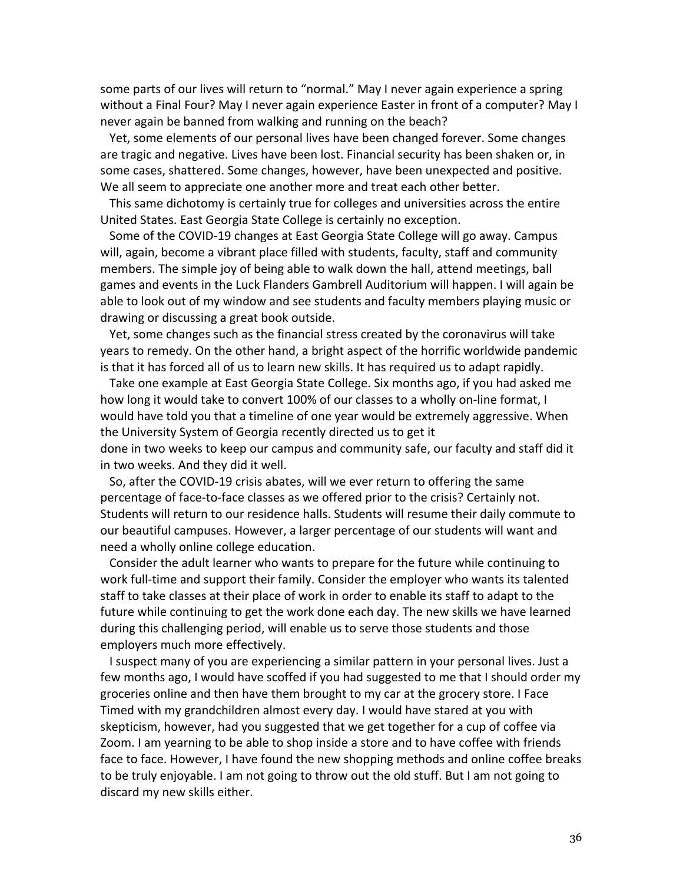some parts of our lives will return to "normal." May I never again experience a spring without a Final Four? May I never again experience Easter in front of a computer? May I never again be banned from walking and running on the beach?

Yet, some elements of our personal lives have been changed forever. Some changes are tragic and negative. Lives have been lost. Financial security has been shaken or, in some cases, shattered. Some changes, however, have been unexpected and positive. We all seem to appreciate one another more and treat each other better.

This same dichotomy is certainly true for colleges and universities across the entire United States. East Georgia State College is certainly no exception.

Some of the COVID-19 changes at East Georgia State College will go away. Campus will, again, become a vibrant place filled with students, faculty, staff and community members. The simple joy of being able to walk down the hall, attend meetings, ball games and events in the Luck Flanders Gambrell Auditorium will happen. I will again be able to look out of my window and see students and faculty members playing music or drawing or discussing a great book outside.

Yet, some changes such as the financial stress created by the coronavirus will take years to remedy. On the other hand, a bright aspect of the horrific worldwide pandemic is that it has forced all of us to learn new skills. It has required us to adapt rapidly.

Take one example at East Georgia State College. Six months ago, if you had asked me how long it would take to convert 100% of our classes to a wholly on-line format, I would have told you that a timeline of one year would be extremely aggressive. When the University System of Georgia recently directed us to get it

done in two weeks to keep our campus and community safe, our faculty and staff did it in two weeks. And they did it well.

So, after the COVID-19 crisis abates, will we ever return to offering the same percentage of face-to-face classes as we offered prior to the crisis? Certainly not. Students will return to our residence halls. Students will resume their daily commute to our beautiful campuses. However, a larger percentage of our students will want and need a wholly online college education.

Consider the adult learner who wants to prepare for the future while continuing to work full-time and support their family. Consider the employer who wants its talented staff to take classes at their place of work in order to enable its staff to adapt to the future while continuing to get the work done each day. The new skills we have learned during this challenging period, will enable us to serve those students and those employers much more effectively.

I suspect many of you are experiencing a similar pattern in your personal lives. Just a few months ago, I would have scoffed if you had suggested to me that I should order my groceries online and then have them brought to my car at the grocery store. I Face Timed with my grandchildren almost every day. I would have stared at you with skepticism, however, had you suggested that we get together for a cup of coffee via Zoom. I am yearning to be able to shop inside a store and to have coffee with friends face to face. However, I have found the new shopping methods and online coffee breaks to be truly enjoyable. I am not going to throw out the old stuff. But I am not going to discard my new skills either.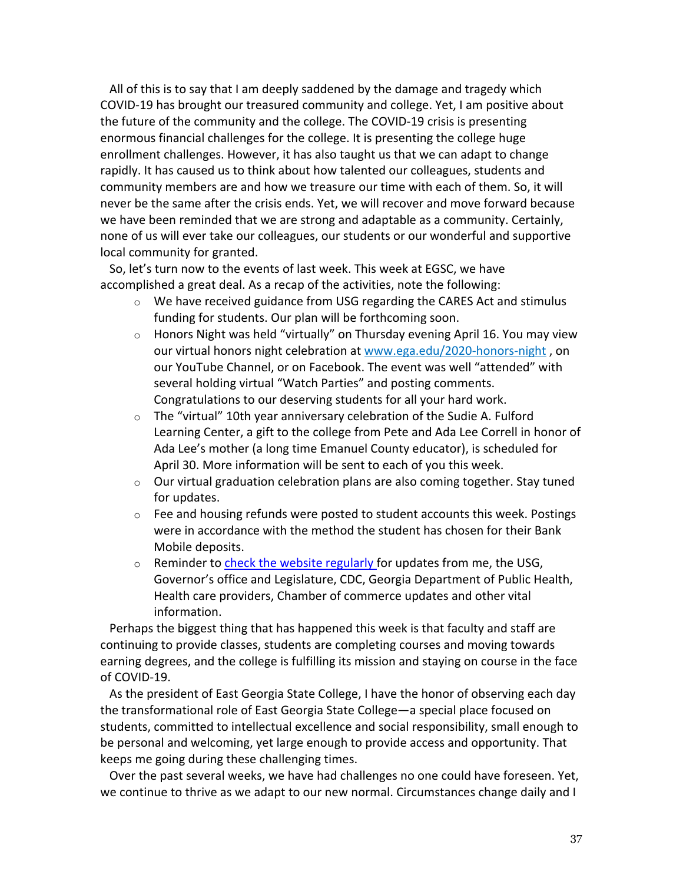All of this is to say that I am deeply saddened by the damage and tragedy which COVID-19 has brought our treasured community and college. Yet, I am positive about the future of the community and the college. The COVID-19 crisis is presenting enormous financial challenges for the college. It is presenting the college huge enrollment challenges. However, it has also taught us that we can adapt to change rapidly. It has caused us to think about how talented our colleagues, students and community members are and how we treasure our time with each of them. So, it will never be the same after the crisis ends. Yet, we will recover and move forward because we have been reminded that we are strong and adaptable as a community. Certainly, none of us will ever take our colleagues, our students or our wonderful and supportive local community for granted.

So, let's turn now to the events of last week. This week at EGSC, we have accomplished a great deal. As a recap of the activities, note the following:

- $\circ$  We have received guidance from USG regarding the CARES Act and stimulus funding for students. Our plan will be forthcoming soon.
- o Honors Night was held "virtually" on Thursday evening April 16. You may view our virtual honors night celebration at www.ega.edu/2020-honors-night , on our YouTube Channel, or on Facebook. The event was well "attended" with several holding virtual "Watch Parties" and posting comments. Congratulations to our deserving students for all your hard work.
- $\circ$  The "virtual" 10th year anniversary celebration of the Sudie A. Fulford Learning Center, a gift to the college from Pete and Ada Lee Correll in honor of Ada Lee's mother (a long time Emanuel County educator), is scheduled for April 30. More information will be sent to each of you this week.
- o Our virtual graduation celebration plans are also coming together. Stay tuned for updates.
- $\circ$  Fee and housing refunds were posted to student accounts this week. Postings were in accordance with the method the student has chosen for their Bank Mobile deposits.
- $\circ$  Reminder to check the website regularly for updates from me, the USG, Governor's office and Legislature, CDC, Georgia Department of Public Health, Health care providers, Chamber of commerce updates and other vital information.

Perhaps the biggest thing that has happened this week is that faculty and staff are continuing to provide classes, students are completing courses and moving towards earning degrees, and the college is fulfilling its mission and staying on course in the face of COVID-19.

As the president of East Georgia State College, I have the honor of observing each day the transformational role of East Georgia State College—a special place focused on students, committed to intellectual excellence and social responsibility, small enough to be personal and welcoming, yet large enough to provide access and opportunity. That keeps me going during these challenging times.

Over the past several weeks, we have had challenges no one could have foreseen. Yet, we continue to thrive as we adapt to our new normal. Circumstances change daily and I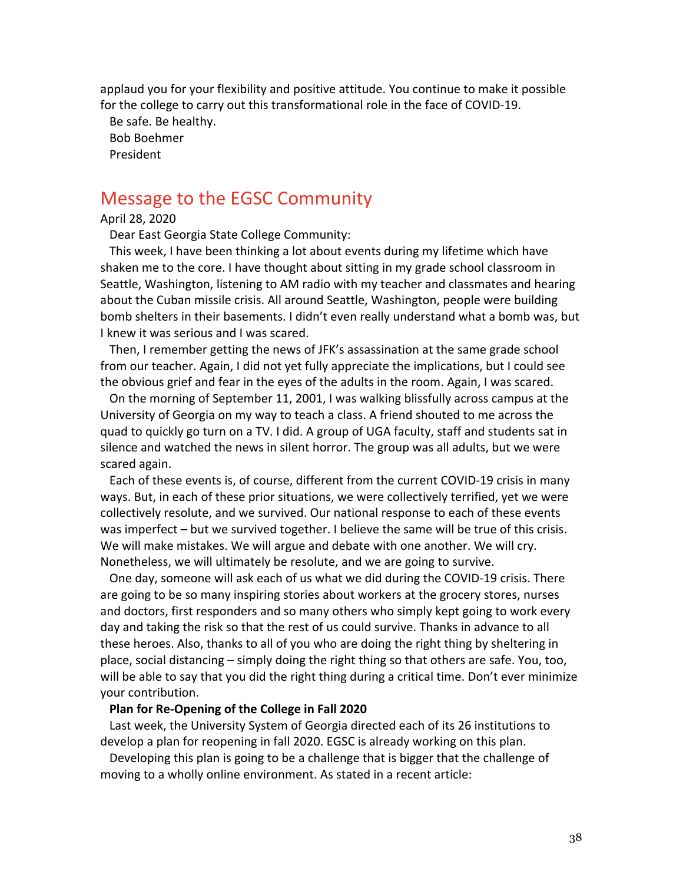applaud you for your flexibility and positive attitude. You continue to make it possible for the college to carry out this transformational role in the face of COVID-19.

Be safe. Be healthy. Bob Boehmer President

# Message to the EGSC Community

### April 28, 2020

Dear East Georgia State College Community:

This week, I have been thinking a lot about events during my lifetime which have shaken me to the core. I have thought about sitting in my grade school classroom in Seattle, Washington, listening to AM radio with my teacher and classmates and hearing about the Cuban missile crisis. All around Seattle, Washington, people were building bomb shelters in their basements. I didn't even really understand what a bomb was, but I knew it was serious and I was scared.

Then, I remember getting the news of JFK's assassination at the same grade school from our teacher. Again, I did not yet fully appreciate the implications, but I could see the obvious grief and fear in the eyes of the adults in the room. Again, I was scared.

On the morning of September 11, 2001, I was walking blissfully across campus at the University of Georgia on my way to teach a class. A friend shouted to me across the quad to quickly go turn on a TV. I did. A group of UGA faculty, staff and students sat in silence and watched the news in silent horror. The group was all adults, but we were scared again.

Each of these events is, of course, different from the current COVID-19 crisis in many ways. But, in each of these prior situations, we were collectively terrified, yet we were collectively resolute, and we survived. Our national response to each of these events was imperfect – but we survived together. I believe the same will be true of this crisis. We will make mistakes. We will argue and debate with one another. We will cry. Nonetheless, we will ultimately be resolute, and we are going to survive.

One day, someone will ask each of us what we did during the COVID-19 crisis. There are going to be so many inspiring stories about workers at the grocery stores, nurses and doctors, first responders and so many others who simply kept going to work every day and taking the risk so that the rest of us could survive. Thanks in advance to all these heroes. Also, thanks to all of you who are doing the right thing by sheltering in place, social distancing – simply doing the right thing so that others are safe. You, too, will be able to say that you did the right thing during a critical time. Don't ever minimize your contribution.

#### **Plan for Re-Opening of the College in Fall 2020**

Last week, the University System of Georgia directed each of its 26 institutions to develop a plan for reopening in fall 2020. EGSC is already working on this plan.

Developing this plan is going to be a challenge that is bigger that the challenge of moving to a wholly online environment. As stated in a recent article: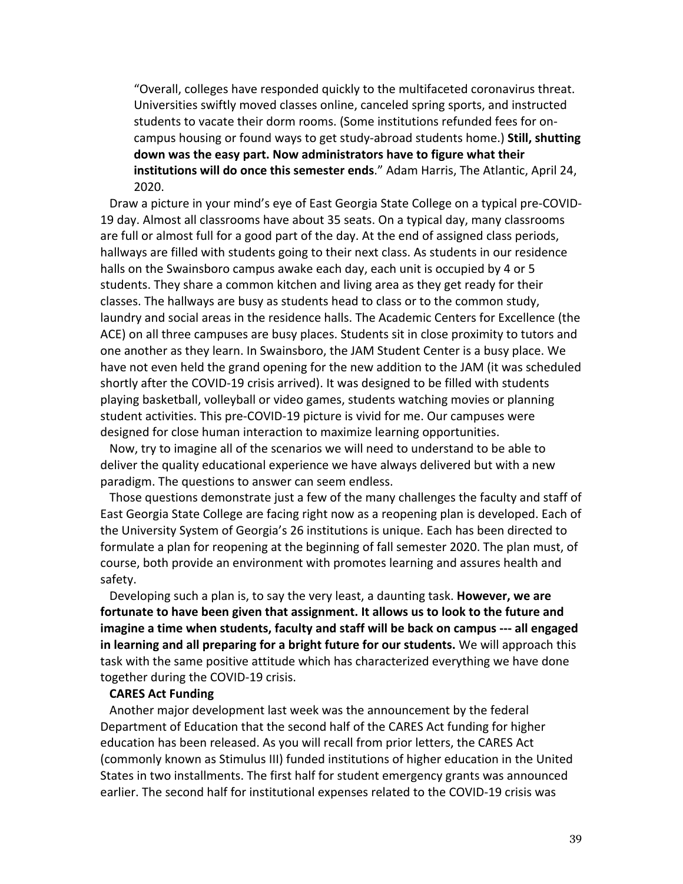"Overall, colleges have responded quickly to the multifaceted coronavirus threat. Universities swiftly moved classes online, canceled spring sports, and instructed students to vacate their dorm rooms. (Some institutions refunded fees for oncampus housing or found ways to get study-abroad students home.) **Still, shutting down was the easy part. Now administrators have to figure what their institutions will do once this semester ends**." Adam Harris, The Atlantic, April 24, 2020.

Draw a picture in your mind's eye of East Georgia State College on a typical pre-COVID-19 day. Almost all classrooms have about 35 seats. On a typical day, many classrooms are full or almost full for a good part of the day. At the end of assigned class periods, hallways are filled with students going to their next class. As students in our residence halls on the Swainsboro campus awake each day, each unit is occupied by 4 or 5 students. They share a common kitchen and living area as they get ready for their classes. The hallways are busy as students head to class or to the common study, laundry and social areas in the residence halls. The Academic Centers for Excellence (the ACE) on all three campuses are busy places. Students sit in close proximity to tutors and one another as they learn. In Swainsboro, the JAM Student Center is a busy place. We have not even held the grand opening for the new addition to the JAM (it was scheduled shortly after the COVID-19 crisis arrived). It was designed to be filled with students playing basketball, volleyball or video games, students watching movies or planning student activities. This pre-COVID-19 picture is vivid for me. Our campuses were designed for close human interaction to maximize learning opportunities.

Now, try to imagine all of the scenarios we will need to understand to be able to deliver the quality educational experience we have always delivered but with a new paradigm. The questions to answer can seem endless.

Those questions demonstrate just a few of the many challenges the faculty and staff of East Georgia State College are facing right now as a reopening plan is developed. Each of the University System of Georgia's 26 institutions is unique. Each has been directed to formulate a plan for reopening at the beginning of fall semester 2020. The plan must, of course, both provide an environment with promotes learning and assures health and safety.

Developing such a plan is, to say the very least, a daunting task. **However, we are fortunate to have been given that assignment. It allows us to look to the future and imagine a time when students, faculty and staff will be back on campus --- all engaged in learning and all preparing for a bright future for our students.** We will approach this task with the same positive attitude which has characterized everything we have done together during the COVID-19 crisis.

### **CARES Act Funding**

Another major development last week was the announcement by the federal Department of Education that the second half of the CARES Act funding for higher education has been released. As you will recall from prior letters, the CARES Act (commonly known as Stimulus III) funded institutions of higher education in the United States in two installments. The first half for student emergency grants was announced earlier. The second half for institutional expenses related to the COVID-19 crisis was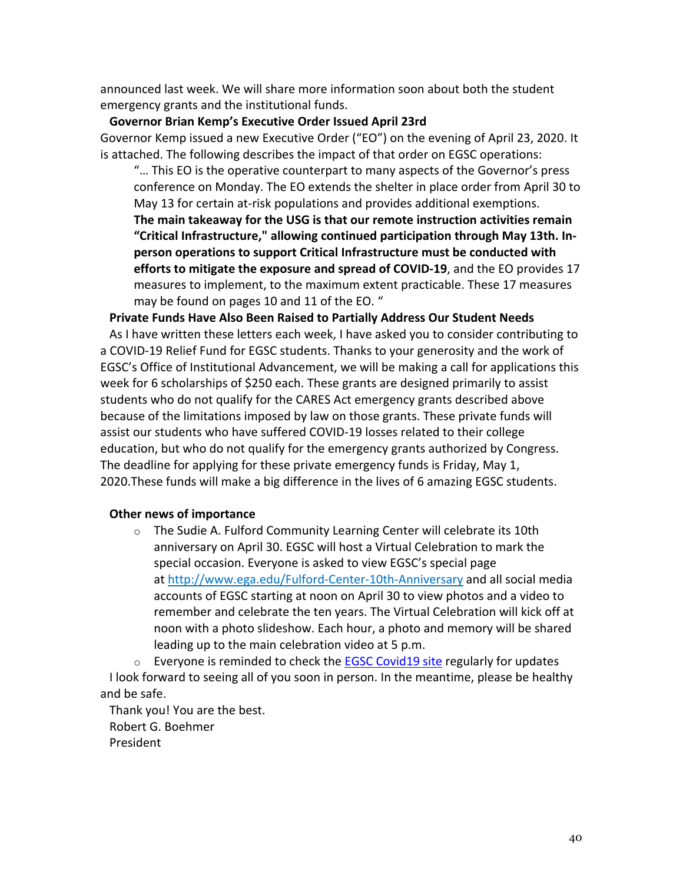announced last week. We will share more information soon about both the student emergency grants and the institutional funds.

## **Governor Brian Kemp's Executive Order Issued April 23rd**

Governor Kemp issued a new Executive Order ("EO") on the evening of April 23, 2020. It is attached. The following describes the impact of that order on EGSC operations:

"… This EO is the operative counterpart to many aspects of the Governor's press conference on Monday. The EO extends the shelter in place order from April 30 to May 13 for certain at-risk populations and provides additional exemptions. **The main takeaway for the USG is that our remote instruction activities remain "Critical Infrastructure," allowing continued participation through May 13th. Inperson operations to support Critical Infrastructure must be conducted with efforts to mitigate the exposure and spread of COVID-19**, and the EO provides 17 measures to implement, to the maximum extent practicable. These 17 measures may be found on pages 10 and 11 of the EO. "

## **Private Funds Have Also Been Raised to Partially Address Our Student Needs**

As I have written these letters each week, I have asked you to consider contributing to a COVID-19 Relief Fund for EGSC students. Thanks to your generosity and the work of EGSC's Office of Institutional Advancement, we will be making a call for applications this week for 6 scholarships of \$250 each. These grants are designed primarily to assist students who do not qualify for the CARES Act emergency grants described above because of the limitations imposed by law on those grants. These private funds will assist our students who have suffered COVID-19 losses related to their college education, but who do not qualify for the emergency grants authorized by Congress. The deadline for applying for these private emergency funds is Friday, May 1, 2020.These funds will make a big difference in the lives of 6 amazing EGSC students.

## **Other news of importance**

o The Sudie A. Fulford Community Learning Center will celebrate its 10th anniversary on April 30. EGSC will host a Virtual Celebration to mark the special occasion. Everyone is asked to view EGSC's special page at http://www.ega.edu/Fulford-Center-10th-Anniversary and all social media accounts of EGSC starting at noon on April 30 to view photos and a video to remember and celebrate the ten years. The Virtual Celebration will kick off at noon with a photo slideshow. Each hour, a photo and memory will be shared leading up to the main celebration video at 5 p.m.

 $\circ$  Everyone is reminded to check the EGSC Covid19 site regularly for updates I look forward to seeing all of you soon in person. In the meantime, please be healthy and be safe.

Thank you! You are the best. Robert G. Boehmer President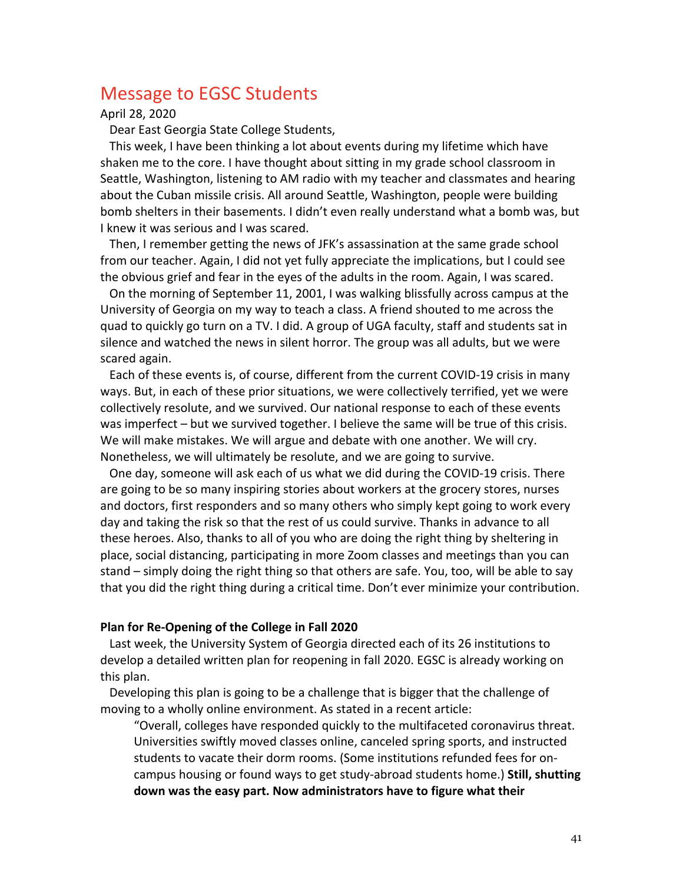# Message to EGSC Students

April 28, 2020

Dear East Georgia State College Students,

This week, I have been thinking a lot about events during my lifetime which have shaken me to the core. I have thought about sitting in my grade school classroom in Seattle, Washington, listening to AM radio with my teacher and classmates and hearing about the Cuban missile crisis. All around Seattle, Washington, people were building bomb shelters in their basements. I didn't even really understand what a bomb was, but I knew it was serious and I was scared.

Then, I remember getting the news of JFK's assassination at the same grade school from our teacher. Again, I did not yet fully appreciate the implications, but I could see the obvious grief and fear in the eyes of the adults in the room. Again, I was scared.

On the morning of September 11, 2001, I was walking blissfully across campus at the University of Georgia on my way to teach a class. A friend shouted to me across the quad to quickly go turn on a TV. I did. A group of UGA faculty, staff and students sat in silence and watched the news in silent horror. The group was all adults, but we were scared again.

Each of these events is, of course, different from the current COVID-19 crisis in many ways. But, in each of these prior situations, we were collectively terrified, yet we were collectively resolute, and we survived. Our national response to each of these events was imperfect – but we survived together. I believe the same will be true of this crisis. We will make mistakes. We will argue and debate with one another. We will cry. Nonetheless, we will ultimately be resolute, and we are going to survive.

One day, someone will ask each of us what we did during the COVID-19 crisis. There are going to be so many inspiring stories about workers at the grocery stores, nurses and doctors, first responders and so many others who simply kept going to work every day and taking the risk so that the rest of us could survive. Thanks in advance to all these heroes. Also, thanks to all of you who are doing the right thing by sheltering in place, social distancing, participating in more Zoom classes and meetings than you can stand – simply doing the right thing so that others are safe. You, too, will be able to say that you did the right thing during a critical time. Don't ever minimize your contribution.

### **Plan for Re-Opening of the College in Fall 2020**

Last week, the University System of Georgia directed each of its 26 institutions to develop a detailed written plan for reopening in fall 2020. EGSC is already working on this plan.

Developing this plan is going to be a challenge that is bigger that the challenge of moving to a wholly online environment. As stated in a recent article:

"Overall, colleges have responded quickly to the multifaceted coronavirus threat. Universities swiftly moved classes online, canceled spring sports, and instructed students to vacate their dorm rooms. (Some institutions refunded fees for oncampus housing or found ways to get study-abroad students home.) **Still, shutting down was the easy part. Now administrators have to figure what their**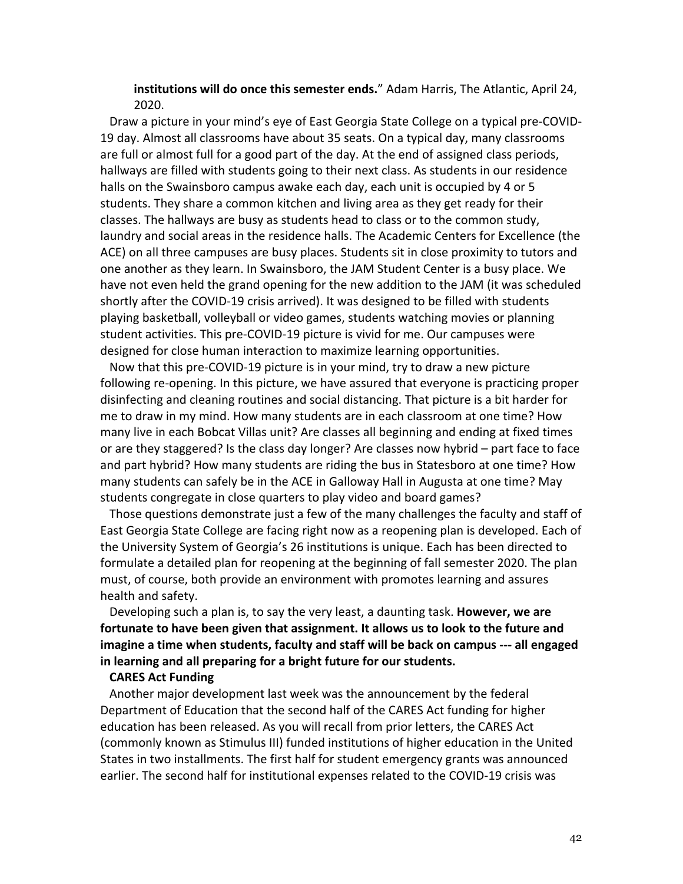**institutions will do once this semester ends.**" Adam Harris, The Atlantic, April 24, 2020.

Draw a picture in your mind's eye of East Georgia State College on a typical pre-COVID-19 day. Almost all classrooms have about 35 seats. On a typical day, many classrooms are full or almost full for a good part of the day. At the end of assigned class periods, hallways are filled with students going to their next class. As students in our residence halls on the Swainsboro campus awake each day, each unit is occupied by 4 or 5 students. They share a common kitchen and living area as they get ready for their classes. The hallways are busy as students head to class or to the common study, laundry and social areas in the residence halls. The Academic Centers for Excellence (the ACE) on all three campuses are busy places. Students sit in close proximity to tutors and one another as they learn. In Swainsboro, the JAM Student Center is a busy place. We have not even held the grand opening for the new addition to the JAM (it was scheduled shortly after the COVID-19 crisis arrived). It was designed to be filled with students playing basketball, volleyball or video games, students watching movies or planning student activities. This pre-COVID-19 picture is vivid for me. Our campuses were designed for close human interaction to maximize learning opportunities.

Now that this pre-COVID-19 picture is in your mind, try to draw a new picture following re-opening. In this picture, we have assured that everyone is practicing proper disinfecting and cleaning routines and social distancing. That picture is a bit harder for me to draw in my mind. How many students are in each classroom at one time? How many live in each Bobcat Villas unit? Are classes all beginning and ending at fixed times or are they staggered? Is the class day longer? Are classes now hybrid – part face to face and part hybrid? How many students are riding the bus in Statesboro at one time? How many students can safely be in the ACE in Galloway Hall in Augusta at one time? May students congregate in close quarters to play video and board games?

Those questions demonstrate just a few of the many challenges the faculty and staff of East Georgia State College are facing right now as a reopening plan is developed. Each of the University System of Georgia's 26 institutions is unique. Each has been directed to formulate a detailed plan for reopening at the beginning of fall semester 2020. The plan must, of course, both provide an environment with promotes learning and assures health and safety.

Developing such a plan is, to say the very least, a daunting task. **However, we are fortunate to have been given that assignment. It allows us to look to the future and imagine a time when students, faculty and staff will be back on campus --- all engaged in learning and all preparing for a bright future for our students.**

## **CARES Act Funding**

Another major development last week was the announcement by the federal Department of Education that the second half of the CARES Act funding for higher education has been released. As you will recall from prior letters, the CARES Act (commonly known as Stimulus III) funded institutions of higher education in the United States in two installments. The first half for student emergency grants was announced earlier. The second half for institutional expenses related to the COVID-19 crisis was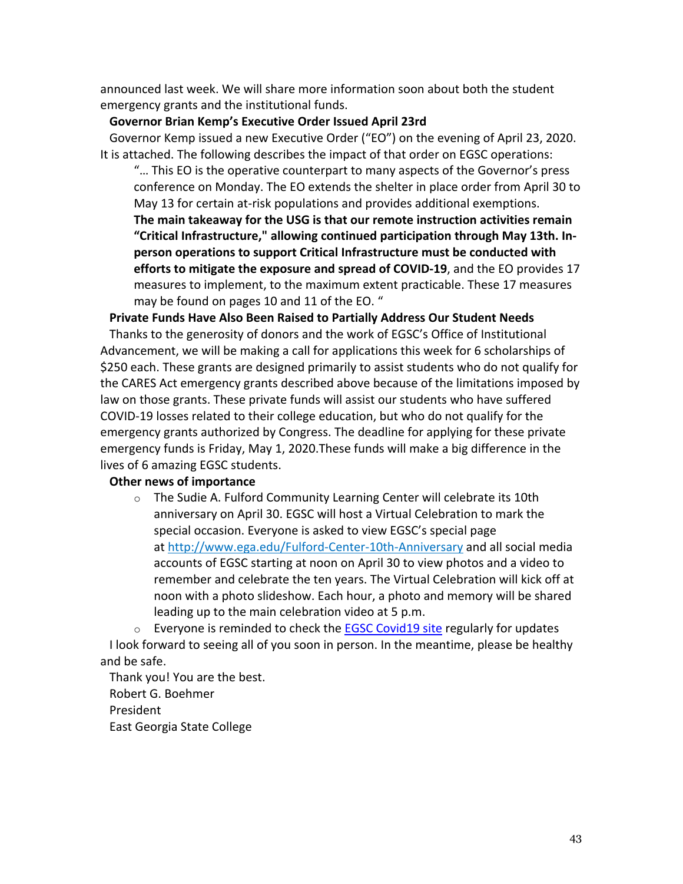announced last week. We will share more information soon about both the student emergency grants and the institutional funds.

## **Governor Brian Kemp's Executive Order Issued April 23rd**

Governor Kemp issued a new Executive Order ("EO") on the evening of April 23, 2020. It is attached. The following describes the impact of that order on EGSC operations:

"… This EO is the operative counterpart to many aspects of the Governor's press conference on Monday. The EO extends the shelter in place order from April 30 to May 13 for certain at-risk populations and provides additional exemptions. **The main takeaway for the USG is that our remote instruction activities remain "Critical Infrastructure," allowing continued participation through May 13th. Inperson operations to support Critical Infrastructure must be conducted with efforts to mitigate the exposure and spread of COVID-19**, and the EO provides 17 measures to implement, to the maximum extent practicable. These 17 measures may be found on pages 10 and 11 of the EO. "

## **Private Funds Have Also Been Raised to Partially Address Our Student Needs**

Thanks to the generosity of donors and the work of EGSC's Office of Institutional Advancement, we will be making a call for applications this week for 6 scholarships of \$250 each. These grants are designed primarily to assist students who do not qualify for the CARES Act emergency grants described above because of the limitations imposed by law on those grants. These private funds will assist our students who have suffered COVID-19 losses related to their college education, but who do not qualify for the emergency grants authorized by Congress. The deadline for applying for these private emergency funds is Friday, May 1, 2020.These funds will make a big difference in the lives of 6 amazing EGSC students.

## **Other news of importance**

o The Sudie A. Fulford Community Learning Center will celebrate its 10th anniversary on April 30. EGSC will host a Virtual Celebration to mark the special occasion. Everyone is asked to view EGSC's special page at http://www.ega.edu/Fulford-Center-10th-Anniversary and all social media accounts of EGSC starting at noon on April 30 to view photos and a video to remember and celebrate the ten years. The Virtual Celebration will kick off at noon with a photo slideshow. Each hour, a photo and memory will be shared leading up to the main celebration video at 5 p.m.

 $\circ$  Everyone is reminded to check the EGSC Covid19 site regularly for updates I look forward to seeing all of you soon in person. In the meantime, please be healthy and be safe.

Thank you! You are the best. Robert G. Boehmer President East Georgia State College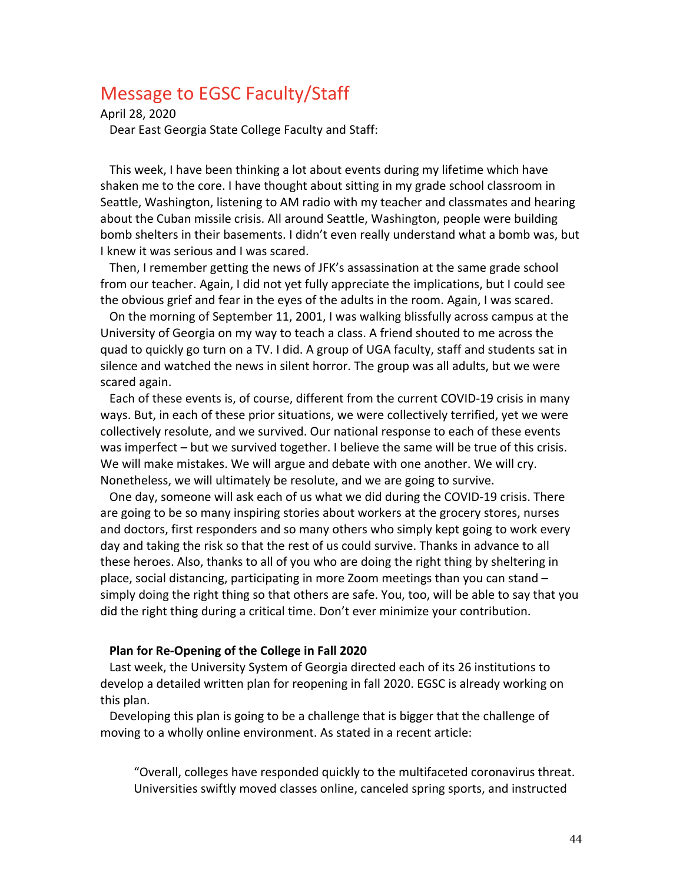# Message to EGSC Faculty/Staff

April 28, 2020

Dear East Georgia State College Faculty and Staff:

This week, I have been thinking a lot about events during my lifetime which have shaken me to the core. I have thought about sitting in my grade school classroom in Seattle, Washington, listening to AM radio with my teacher and classmates and hearing about the Cuban missile crisis. All around Seattle, Washington, people were building bomb shelters in their basements. I didn't even really understand what a bomb was, but I knew it was serious and I was scared.

Then, I remember getting the news of JFK's assassination at the same grade school from our teacher. Again, I did not yet fully appreciate the implications, but I could see the obvious grief and fear in the eyes of the adults in the room. Again, I was scared.

On the morning of September 11, 2001, I was walking blissfully across campus at the University of Georgia on my way to teach a class. A friend shouted to me across the quad to quickly go turn on a TV. I did. A group of UGA faculty, staff and students sat in silence and watched the news in silent horror. The group was all adults, but we were scared again.

Each of these events is, of course, different from the current COVID-19 crisis in many ways. But, in each of these prior situations, we were collectively terrified, yet we were collectively resolute, and we survived. Our national response to each of these events was imperfect – but we survived together. I believe the same will be true of this crisis. We will make mistakes. We will argue and debate with one another. We will cry. Nonetheless, we will ultimately be resolute, and we are going to survive.

One day, someone will ask each of us what we did during the COVID-19 crisis. There are going to be so many inspiring stories about workers at the grocery stores, nurses and doctors, first responders and so many others who simply kept going to work every day and taking the risk so that the rest of us could survive. Thanks in advance to all these heroes. Also, thanks to all of you who are doing the right thing by sheltering in place, social distancing, participating in more Zoom meetings than you can stand – simply doing the right thing so that others are safe. You, too, will be able to say that you did the right thing during a critical time. Don't ever minimize your contribution.

### **Plan for Re-Opening of the College in Fall 2020**

Last week, the University System of Georgia directed each of its 26 institutions to develop a detailed written plan for reopening in fall 2020. EGSC is already working on this plan.

Developing this plan is going to be a challenge that is bigger that the challenge of moving to a wholly online environment. As stated in a recent article:

"Overall, colleges have responded quickly to the multifaceted coronavirus threat. Universities swiftly moved classes online, canceled spring sports, and instructed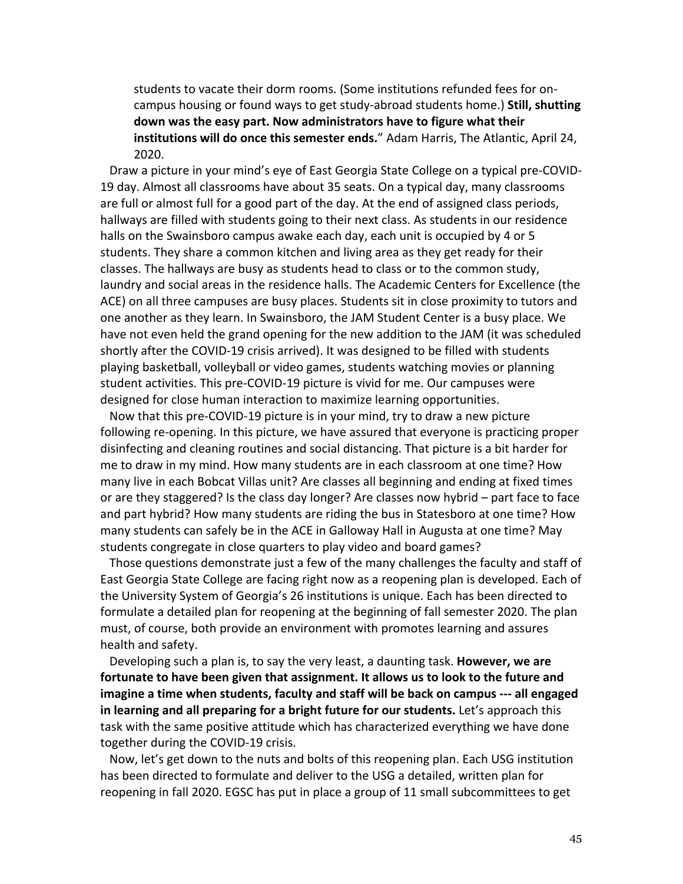students to vacate their dorm rooms. (Some institutions refunded fees for oncampus housing or found ways to get study-abroad students home.) **Still, shutting down was the easy part. Now administrators have to figure what their institutions will do once this semester ends.**" Adam Harris, The Atlantic, April 24, 2020.

Draw a picture in your mind's eye of East Georgia State College on a typical pre-COVID-19 day. Almost all classrooms have about 35 seats. On a typical day, many classrooms are full or almost full for a good part of the day. At the end of assigned class periods, hallways are filled with students going to their next class. As students in our residence halls on the Swainsboro campus awake each day, each unit is occupied by 4 or 5 students. They share a common kitchen and living area as they get ready for their classes. The hallways are busy as students head to class or to the common study, laundry and social areas in the residence halls. The Academic Centers for Excellence (the ACE) on all three campuses are busy places. Students sit in close proximity to tutors and one another as they learn. In Swainsboro, the JAM Student Center is a busy place. We have not even held the grand opening for the new addition to the JAM (it was scheduled shortly after the COVID-19 crisis arrived). It was designed to be filled with students playing basketball, volleyball or video games, students watching movies or planning student activities. This pre-COVID-19 picture is vivid for me. Our campuses were designed for close human interaction to maximize learning opportunities.

Now that this pre-COVID-19 picture is in your mind, try to draw a new picture following re-opening. In this picture, we have assured that everyone is practicing proper disinfecting and cleaning routines and social distancing. That picture is a bit harder for me to draw in my mind. How many students are in each classroom at one time? How many live in each Bobcat Villas unit? Are classes all beginning and ending at fixed times or are they staggered? Is the class day longer? Are classes now hybrid – part face to face and part hybrid? How many students are riding the bus in Statesboro at one time? How many students can safely be in the ACE in Galloway Hall in Augusta at one time? May students congregate in close quarters to play video and board games?

Those questions demonstrate just a few of the many challenges the faculty and staff of East Georgia State College are facing right now as a reopening plan is developed. Each of the University System of Georgia's 26 institutions is unique. Each has been directed to formulate a detailed plan for reopening at the beginning of fall semester 2020. The plan must, of course, both provide an environment with promotes learning and assures health and safety.

Developing such a plan is, to say the very least, a daunting task. **However, we are fortunate to have been given that assignment. It allows us to look to the future and imagine a time when students, faculty and staff will be back on campus --- all engaged in learning and all preparing for a bright future for our students.** Let's approach this task with the same positive attitude which has characterized everything we have done together during the COVID-19 crisis.

Now, let's get down to the nuts and bolts of this reopening plan. Each USG institution has been directed to formulate and deliver to the USG a detailed, written plan for reopening in fall 2020. EGSC has put in place a group of 11 small subcommittees to get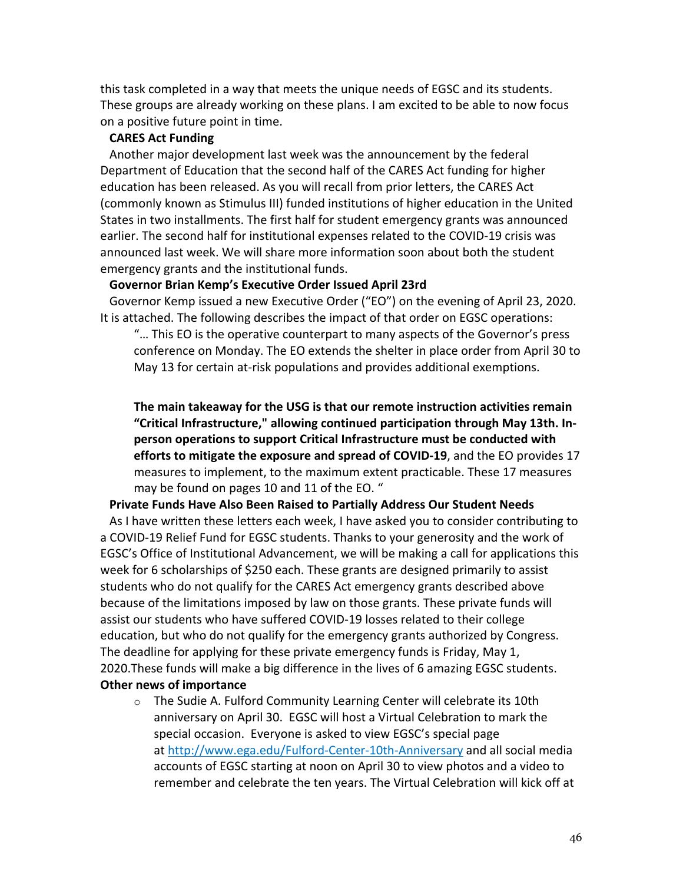this task completed in a way that meets the unique needs of EGSC and its students. These groups are already working on these plans. I am excited to be able to now focus on a positive future point in time.

# **CARES Act Funding**

Another major development last week was the announcement by the federal Department of Education that the second half of the CARES Act funding for higher education has been released. As you will recall from prior letters, the CARES Act (commonly known as Stimulus III) funded institutions of higher education in the United States in two installments. The first half for student emergency grants was announced earlier. The second half for institutional expenses related to the COVID-19 crisis was announced last week. We will share more information soon about both the student emergency grants and the institutional funds.

## **Governor Brian Kemp's Executive Order Issued April 23rd**

Governor Kemp issued a new Executive Order ("EO") on the evening of April 23, 2020. It is attached. The following describes the impact of that order on EGSC operations:

"… This EO is the operative counterpart to many aspects of the Governor's press conference on Monday. The EO extends the shelter in place order from April 30 to May 13 for certain at-risk populations and provides additional exemptions.

**The main takeaway for the USG is that our remote instruction activities remain "Critical Infrastructure," allowing continued participation through May 13th. Inperson operations to support Critical Infrastructure must be conducted with efforts to mitigate the exposure and spread of COVID-19**, and the EO provides 17 measures to implement, to the maximum extent practicable. These 17 measures may be found on pages 10 and 11 of the EO. "

## **Private Funds Have Also Been Raised to Partially Address Our Student Needs**

As I have written these letters each week, I have asked you to consider contributing to a COVID-19 Relief Fund for EGSC students. Thanks to your generosity and the work of EGSC's Office of Institutional Advancement, we will be making a call for applications this week for 6 scholarships of \$250 each. These grants are designed primarily to assist students who do not qualify for the CARES Act emergency grants described above because of the limitations imposed by law on those grants. These private funds will assist our students who have suffered COVID-19 losses related to their college education, but who do not qualify for the emergency grants authorized by Congress. The deadline for applying for these private emergency funds is Friday, May 1, 2020.These funds will make a big difference in the lives of 6 amazing EGSC students. **Other news of importance**

o The Sudie A. Fulford Community Learning Center will celebrate its 10th anniversary on April 30. EGSC will host a Virtual Celebration to mark the special occasion. Everyone is asked to view EGSC's special page at http://www.ega.edu/Fulford-Center-10th-Anniversary and all social media accounts of EGSC starting at noon on April 30 to view photos and a video to remember and celebrate the ten years. The Virtual Celebration will kick off at